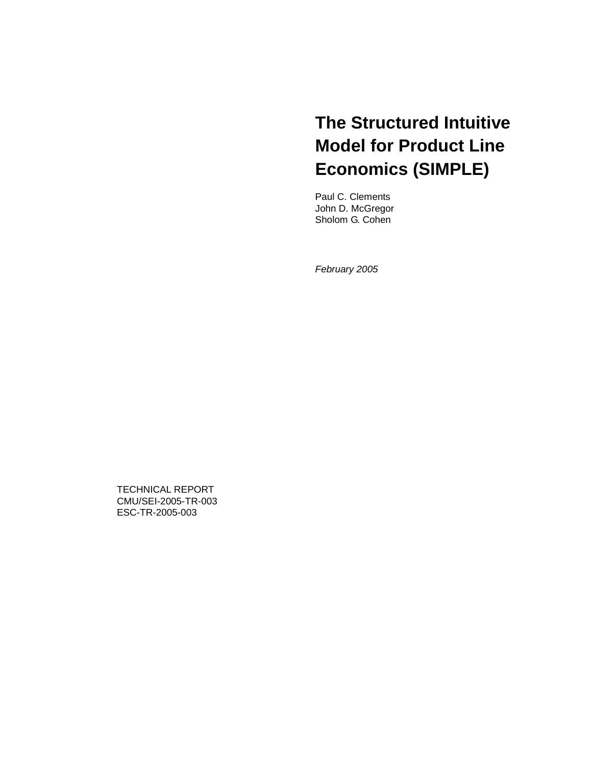# **The Structured Intuitive Model for Product Line Economics (SIMPLE)**

Paul C. Clements John D. McGregor Sholom G. Cohen

*February 2005* 

TECHNICAL REPORT CMU/SEI-2005-TR-003 ESC-TR-2005-003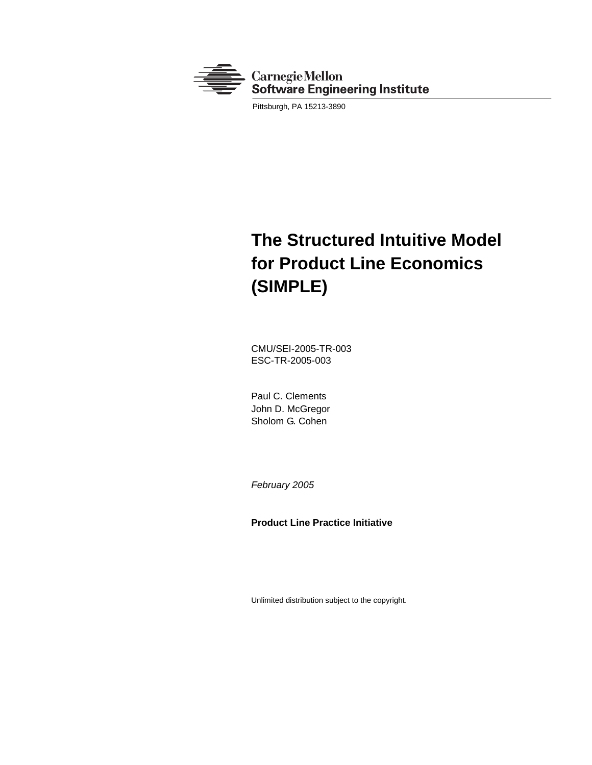

Pittsburgh, PA 15213-3890

# **The Structured Intuitive Model for Product Line Economics (SIMPLE)**

CMU/SEI-2005-TR-003 ESC-TR-2005-003

Paul C. Clements John D. McGregor Sholom G. Cohen

*February 2005* 

**Product Line Practice Initiative** 

Unlimited distribution subject to the copyright.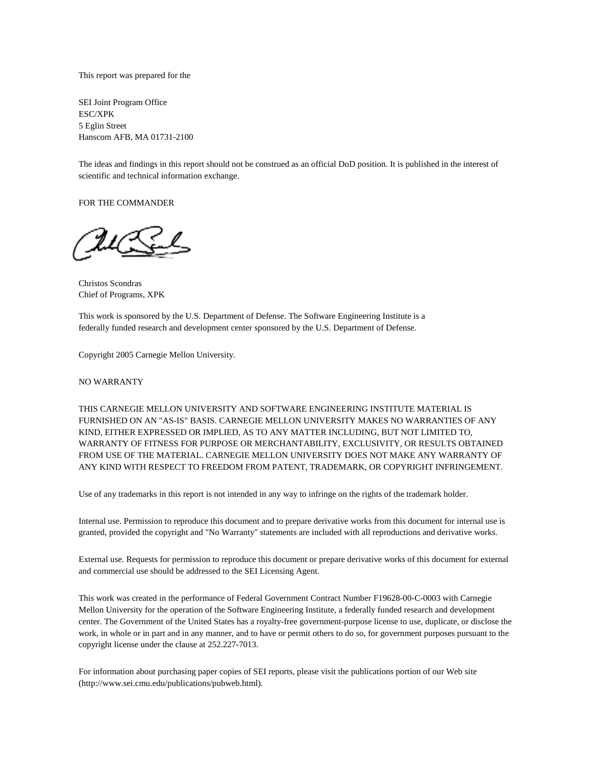This report was prepared for the

SEI Joint Program Office ESC/XPK 5 Eglin Street Hanscom AFB, MA 01731-2100

The ideas and findings in this report should not be construed as an official DoD position. It is published in the interest of scientific and technical information exchange.

FOR THE COMMANDER

Christos Scondras Chief of Programs, XPK

This work is sponsored by the U.S. Department of Defense. The Software Engineering Institute is a federally funded research and development center sponsored by the U.S. Department of Defense.

Copyright 2005 Carnegie Mellon University.

NO WARRANTY

THIS CARNEGIE MELLON UNIVERSITY AND SOFTWARE ENGINEERING INSTITUTE MATERIAL IS FURNISHED ON AN "AS-IS" BASIS. CARNEGIE MELLON UNIVERSITY MAKES NO WARRANTIES OF ANY KIND, EITHER EXPRESSED OR IMPLIED, AS TO ANY MATTER INCLUDING, BUT NOT LIMITED TO, WARRANTY OF FITNESS FOR PURPOSE OR MERCHANTABILITY, EXCLUSIVITY, OR RESULTS OBTAINED FROM USE OF THE MATERIAL. CARNEGIE MELLON UNIVERSITY DOES NOT MAKE ANY WARRANTY OF ANY KIND WITH RESPECT TO FREEDOM FROM PATENT, TRADEMARK, OR COPYRIGHT INFRINGEMENT.

Use of any trademarks in this report is not intended in any way to infringe on the rights of the trademark holder.

Internal use. Permission to reproduce this document and to prepare derivative works from this document for internal use is granted, provided the copyright and "No Warranty" statements are included with all reproductions and derivative works.

External use. Requests for permission to reproduce this document or prepare derivative works of this document for external and commercial use should be addressed to the SEI Licensing Agent.

This work was created in the performance of Federal Government Contract Number F19628-00-C-0003 with Carnegie Mellon University for the operation of the Software Engineering Institute, a federally funded research and development center. The Government of the United States has a royalty-free government-purpose license to use, duplicate, or disclose the work, in whole or in part and in any manner, and to have or permit others to do so, for government purposes pursuant to the copyright license under the clause at 252.227-7013.

For information about purchasing paper copies of SEI reports, please visit the publications portion of our Web site [\(http://www.sei.cmu.edu/publications/pubweb.htm](http://www.sei.cmu.edu/publications/pubweb.html)l).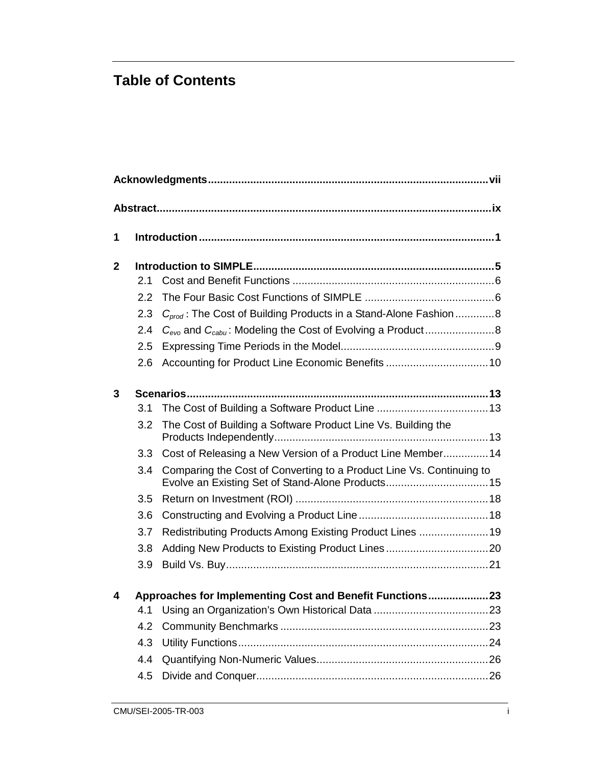# **Table of Contents**

| 1              |                  |                                                                              |  |  |  |  |
|----------------|------------------|------------------------------------------------------------------------------|--|--|--|--|
| $\overline{2}$ |                  |                                                                              |  |  |  |  |
|                | 2.1              |                                                                              |  |  |  |  |
|                | $2.2\phantom{0}$ |                                                                              |  |  |  |  |
|                | 2.3              | C <sub>prod</sub> : The Cost of Building Products in a Stand-Alone Fashion 8 |  |  |  |  |
|                | 2.4              |                                                                              |  |  |  |  |
|                | 2.5              |                                                                              |  |  |  |  |
|                | 2.6              |                                                                              |  |  |  |  |
| 3              |                  |                                                                              |  |  |  |  |
|                | 3.1              |                                                                              |  |  |  |  |
|                | 3.2              | The Cost of Building a Software Product Line Vs. Building the                |  |  |  |  |
|                | 3.3              | Cost of Releasing a New Version of a Product Line Member 14                  |  |  |  |  |
|                | 3.4              | Comparing the Cost of Converting to a Product Line Vs. Continuing to         |  |  |  |  |
|                | 3.5              |                                                                              |  |  |  |  |
|                | 3.6              |                                                                              |  |  |  |  |
|                | 3.7              | Redistributing Products Among Existing Product Lines  19                     |  |  |  |  |
|                | 3.8              |                                                                              |  |  |  |  |
|                | 3.9              |                                                                              |  |  |  |  |
| 4              |                  | Approaches for Implementing Cost and Benefit Functions23                     |  |  |  |  |
|                |                  |                                                                              |  |  |  |  |
|                | 4.2              |                                                                              |  |  |  |  |
|                | 4.3              |                                                                              |  |  |  |  |
|                | 4.4              |                                                                              |  |  |  |  |
|                | 4.5              |                                                                              |  |  |  |  |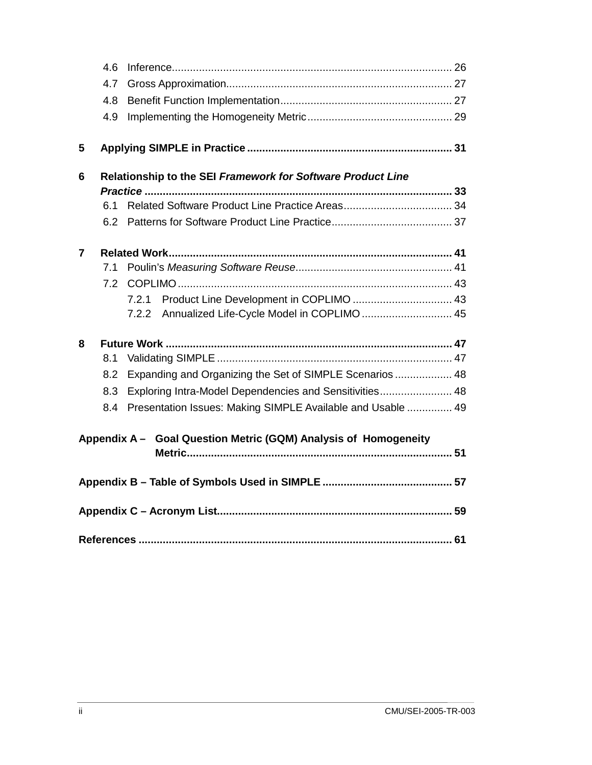|   | 4.6 |                                                                 |  |
|---|-----|-----------------------------------------------------------------|--|
|   | 4.7 |                                                                 |  |
|   | 4.8 |                                                                 |  |
|   | 4.9 |                                                                 |  |
| 5 |     |                                                                 |  |
|   |     |                                                                 |  |
| 6 |     | Relationship to the SEI Framework for Software Product Line     |  |
|   |     |                                                                 |  |
|   | 6.1 |                                                                 |  |
|   |     |                                                                 |  |
| 7 |     |                                                                 |  |
|   | 7.1 |                                                                 |  |
|   |     |                                                                 |  |
|   |     | 7.2.1                                                           |  |
|   |     | Annualized Life-Cycle Model in COPLIMO  45<br>7.2.2             |  |
| 8 |     |                                                                 |  |
|   | 8.1 |                                                                 |  |
|   | 8.2 | Expanding and Organizing the Set of SIMPLE Scenarios 48         |  |
|   | 8.3 | Exploring Intra-Model Dependencies and Sensitivities 48         |  |
|   | 8.4 | Presentation Issues: Making SIMPLE Available and Usable  49     |  |
|   |     | Appendix A - Goal Question Metric (GQM) Analysis of Homogeneity |  |
|   |     |                                                                 |  |
|   |     |                                                                 |  |
|   |     |                                                                 |  |
|   |     |                                                                 |  |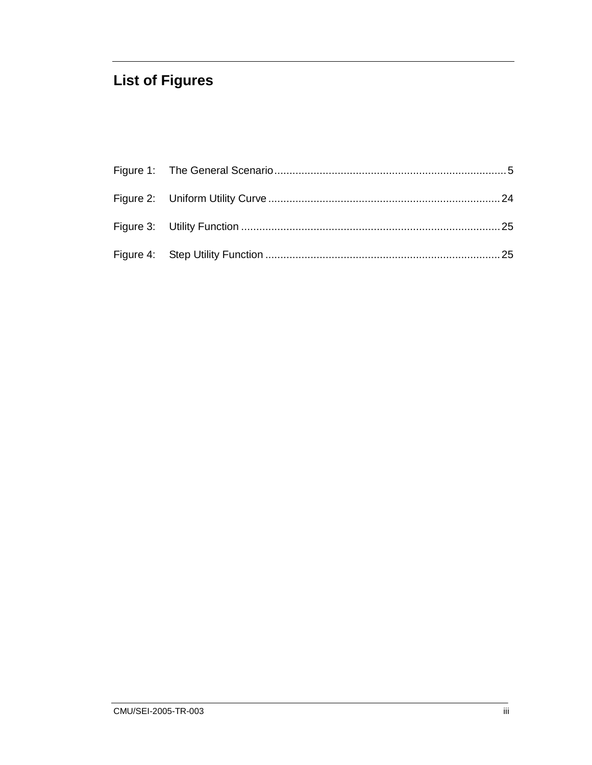# **List of Figures**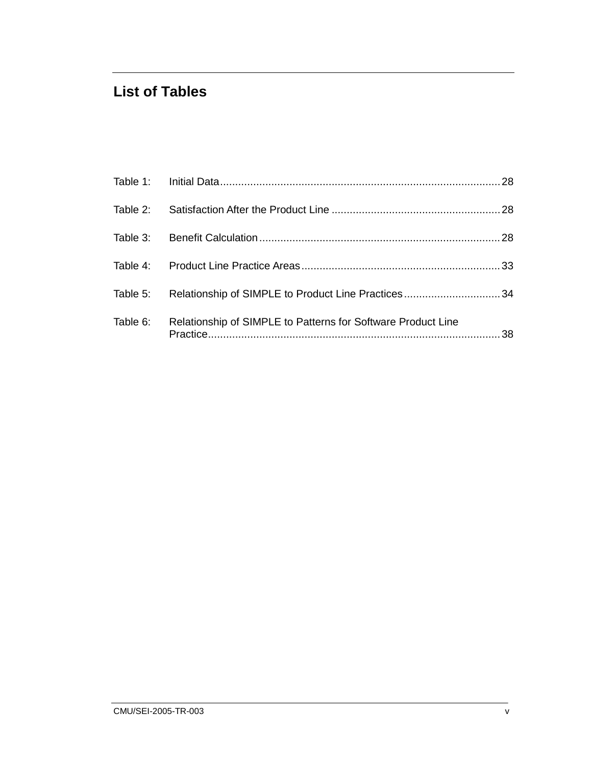# **List of Tables**

|          | Table 5: Relationship of SIMPLE to Product Line Practices34  |  |
|----------|--------------------------------------------------------------|--|
| Table 6: | Relationship of SIMPLE to Patterns for Software Product Line |  |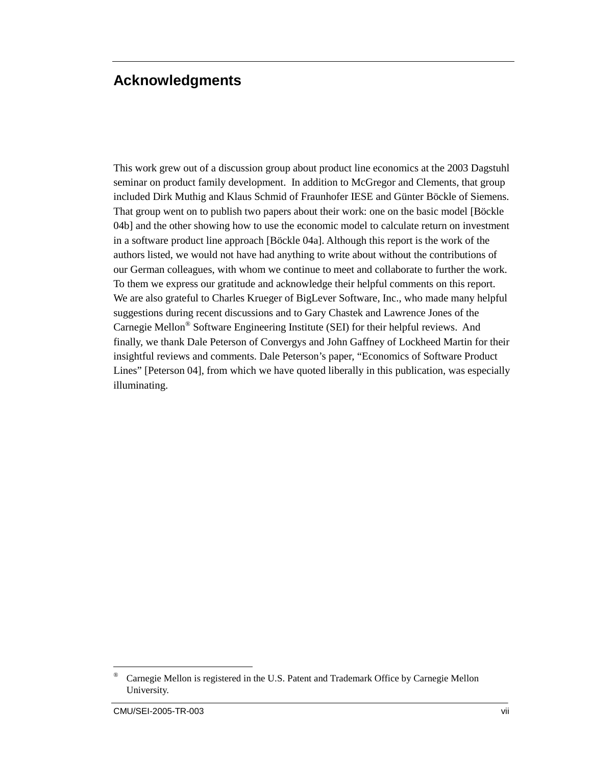## **Acknowledgments**

This work grew out of a discussion group about product line economics at the 2003 Dagstuhl seminar on product family development. In addition to McGregor and Clements, that group included Dirk Muthig and Klaus Schmid of Fraunhofer IESE and Günter Böckle of Siemens. That group went on to publish two papers about their work: one on the basic model [Böckle 04b] and the other showing how to use the economic model to calculate return on investment in a software product line approach [Böckle 04a]. Although this report is the work of the authors listed, we would not have had anything to write about without the contributions of our German colleagues, with whom we continue to meet and collaborate to further the work. To them we express our gratitude and acknowledge their helpful comments on this report. We are also grateful to Charles Krueger of BigLever Software, Inc., who made many helpful suggestions during recent discussions and to Gary Chastek and Lawrence Jones of the Carnegie Mellon® Software Engineering Institute (SEI) for their helpful reviews. And finally, we thank Dale Peterson of Convergys and John Gaffney of Lockheed Martin for their insightful reviews and comments. Dale Peterson's paper, "Economics of Software Product Lines" [Peterson 04], from which we have quoted liberally in this publication, was especially illuminating.

 $\overline{a}$ 

Carnegie Mellon is registered in the U.S. Patent and Trademark Office by Carnegie Mellon University.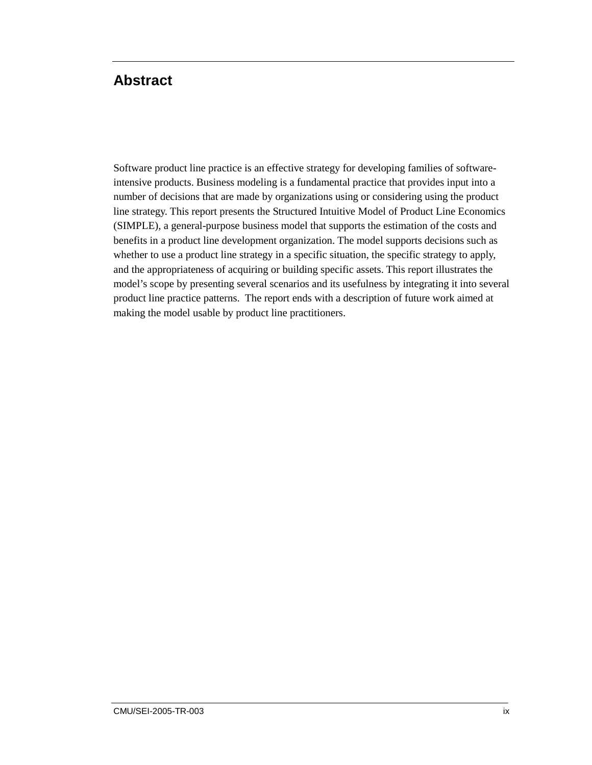# **Abstract**

Software product line practice is an effective strategy for developing families of softwareintensive products. Business modeling is a fundamental practice that provides input into a number of decisions that are made by organizations using or considering using the product line strategy. This report presents the Structured Intuitive Model of Product Line Economics (SIMPLE), a general-purpose business model that supports the estimation of the costs and benefits in a product line development organization. The model supports decisions such as whether to use a product line strategy in a specific situation, the specific strategy to apply, and the appropriateness of acquiring or building specific assets. This report illustrates the model's scope by presenting several scenarios and its usefulness by integrating it into several product line practice patterns. The report ends with a description of future work aimed at making the model usable by product line practitioners.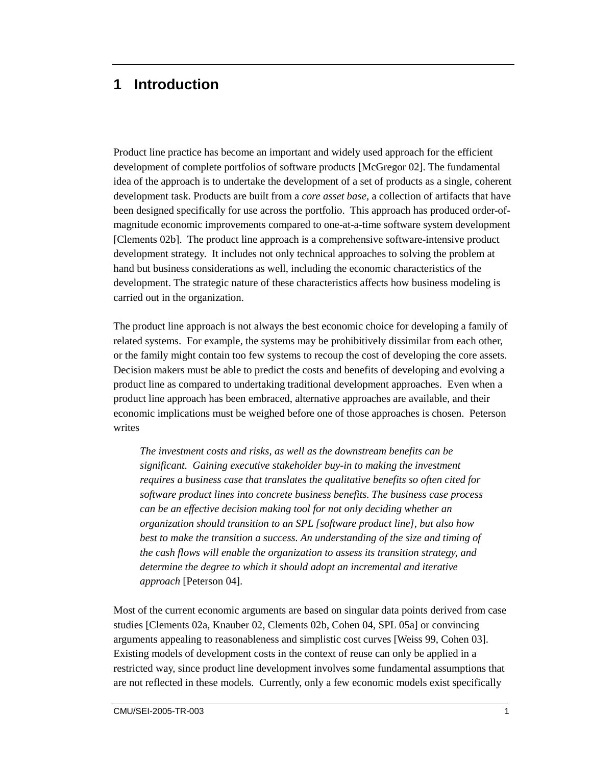# **1 Introduction**

Product line practice has become an important and widely used approach for the efficient development of complete portfolios of software products [McGregor 02]. The fundamental idea of the approach is to undertake the development of a set of products as a single, coherent development task. Products are built from a *core asset base*, a collection of artifacts that have been designed specifically for use across the portfolio. This approach has produced order-ofmagnitude economic improvements compared to one-at-a-time software system development [Clements 02b]. The product line approach is a comprehensive software-intensive product development strategy. It includes not only technical approaches to solving the problem at hand but business considerations as well, including the economic characteristics of the development. The strategic nature of these characteristics affects how business modeling is carried out in the organization.

The product line approach is not always the best economic choice for developing a family of related systems. For example, the systems may be prohibitively dissimilar from each other, or the family might contain too few systems to recoup the cost of developing the core assets. Decision makers must be able to predict the costs and benefits of developing and evolving a product line as compared to undertaking traditional development approaches. Even when a product line approach has been embraced, alternative approaches are available, and their economic implications must be weighed before one of those approaches is chosen. Peterson writes

*The investment costs and risks, as well as the downstream benefits can be significant. Gaining executive stakeholder buy-in to making the investment requires a business case that translates the qualitative benefits so often cited for software product lines into concrete business benefits. The business case process can be an effective decision making tool for not only deciding whether an organization should transition to an SPL [software product line], but also how best to make the transition a success. An understanding of the size and timing of the cash flows will enable the organization to assess its transition strategy, and determine the degree to which it should adopt an incremental and iterative approach* [Peterson 04].

Most of the current economic arguments are based on singular data points derived from case studies [Clements 02a, Knauber 02, Clements 02b, Cohen 04, SPL 05a] or convincing arguments appealing to reasonableness and simplistic cost curves [Weiss 99, Cohen 03]. Existing models of development costs in the context of reuse can only be applied in a restricted way, since product line development involves some fundamental assumptions that are not reflected in these models. Currently, only a few economic models exist specifically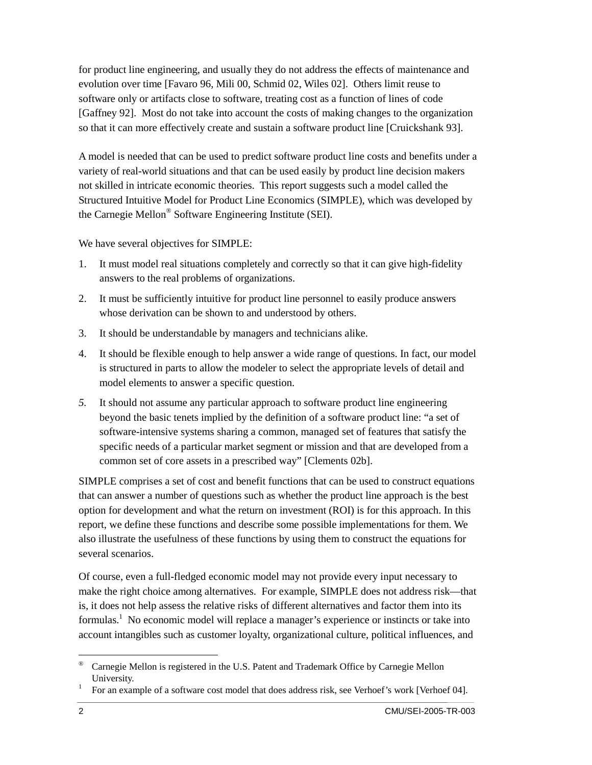for product line engineering, and usually they do not address the effects of maintenance and evolution over time [Favaro 96, Mili 00, Schmid 02, Wiles 02]. Others limit reuse to software only or artifacts close to software, treating cost as a function of lines of code [Gaffney 92]. Most do not take into account the costs of making changes to the organization so that it can more effectively create and sustain a software product line [Cruickshank 93].

A model is needed that can be used to predict software product line costs and benefits under a variety of real-world situations and that can be used easily by product line decision makers not skilled in intricate economic theories. This report suggests such a model called the Structured Intuitive Model for Product Line Economics (SIMPLE), which was developed by the Carnegie Mellon® Software Engineering Institute (SEI).

We have several objectives for SIMPLE:

- 1. It must model real situations completely and correctly so that it can give high-fidelity answers to the real problems of organizations.
- 2. It must be sufficiently intuitive for product line personnel to easily produce answers whose derivation can be shown to and understood by others.
- 3. It should be understandable by managers and technicians alike.
- 4. It should be flexible enough to help answer a wide range of questions. In fact, our model is structured in parts to allow the modeler to select the appropriate levels of detail and model elements to answer a specific question.
- *5.* It should not assume any particular approach to software product line engineering beyond the basic tenets implied by the definition of a software product line: "a set of software-intensive systems sharing a common, managed set of features that satisfy the specific needs of a particular market segment or mission and that are developed from a common set of core assets in a prescribed way" [Clements 02b].

SIMPLE comprises a set of cost and benefit functions that can be used to construct equations that can answer a number of questions such as whether the product line approach is the best option for development and what the return on investment (ROI) is for this approach. In this report, we define these functions and describe some possible implementations for them. We also illustrate the usefulness of these functions by using them to construct the equations for several scenarios.

Of course, even a full-fledged economic model may not provide every input necessary to make the right choice among alternatives. For example, SIMPLE does not address risk—that is, it does not help assess the relative risks of different alternatives and factor them into its formulas.<sup>1</sup> No economic model will replace a manager's experience or instincts or take into account intangibles such as customer loyalty, organizational culture, political influences, and

 $\overline{a}$ ® Carnegie Mellon is registered in the U.S. Patent and Trademark Office by Carnegie Mellon University.

For an example of a software cost model that does address risk, see Verhoef's work [Verhoef 04].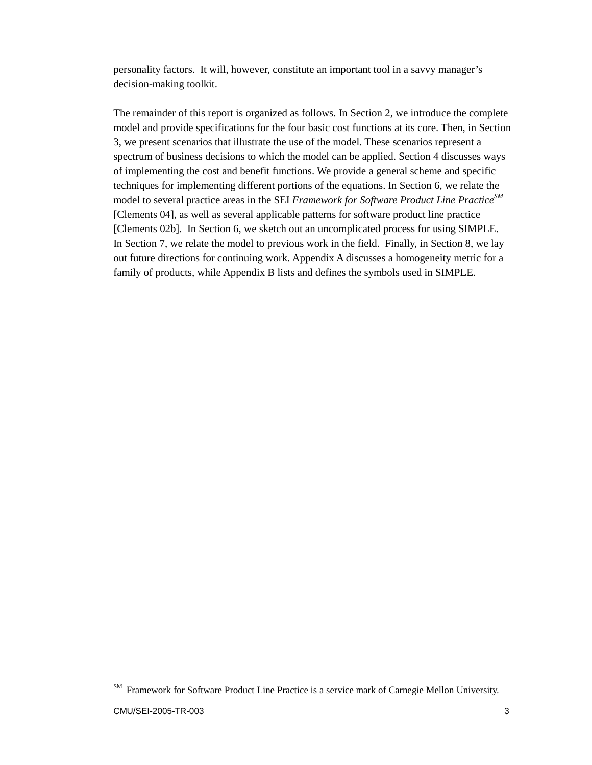personality factors. It will, however, constitute an important tool in a savvy manager's decision-making toolkit.

The remainder of this report is organized as follows. In Section 2, we introduce the complete model and provide specifications for the four basic cost functions at its core. Then, in Section 3, we present scenarios that illustrate the use of the model. These scenarios represent a spectrum of business decisions to which the model can be applied. Section 4 discusses ways of implementing the cost and benefit functions. We provide a general scheme and specific techniques for implementing different portions of the equations. In Section 6, we relate the model to several practice areas in the SEI *Framework for Software Product Line PracticeSM* [Clements 04], as well as several applicable patterns for software product line practice [Clements 02b]. In Section 6, we sketch out an uncomplicated process for using SIMPLE. In Section 7, we relate the model to previous work in the field. Finally, in Section 8, we lay out future directions for continuing work. Appendix A discusses a homogeneity metric for a family of products, while Appendix B lists and defines the symbols used in SIMPLE.

 $\overline{a}$ 

<sup>&</sup>lt;sup>SM</sup> Framework for Software Product Line Practice is a service mark of Carnegie Mellon University.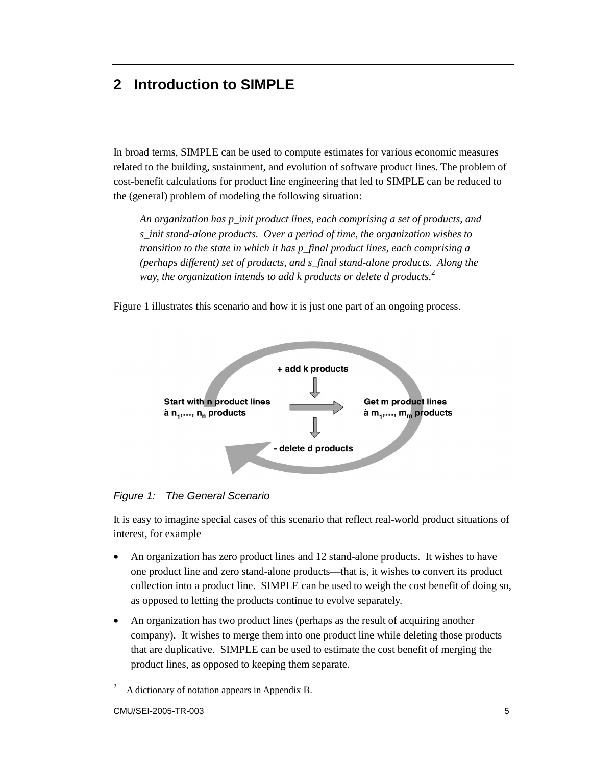# **2 Introduction to SIMPLE**

In broad terms, SIMPLE can be used to compute estimates for various economic measures related to the building, sustainment, and evolution of software product lines. The problem of cost-benefit calculations for product line engineering that led to SIMPLE can be reduced to the (general) problem of modeling the following situation:

*An organization has p\_init product lines, each comprising a set of products, and s\_init stand-alone products. Over a period of time, the organization wishes to transition to the state in which it has p\_final product lines, each comprising a (perhaps different) set of products, and s\_final stand-alone products. Along the way, the organization intends to add k products or delete d products.*<sup>2</sup>

Figure 1 illustrates this scenario and how it is just one part of an ongoing process.



*Figure 1: The General Scenario* 

It is easy to imagine special cases of this scenario that reflect real-world product situations of interest, for example

- An organization has zero product lines and 12 stand-alone products. It wishes to have one product line and zero stand-alone products—that is, it wishes to convert its product collection into a product line. SIMPLE can be used to weigh the cost benefit of doing so, as opposed to letting the products continue to evolve separately.
- An organization has two product lines (perhaps as the result of acquiring another company). It wishes to merge them into one product line while deleting those products that are duplicative. SIMPLE can be used to estimate the cost benefit of merging the product lines, as opposed to keeping them separate.

 $\overline{a}$ 2 A dictionary of notation appears in Appendix B.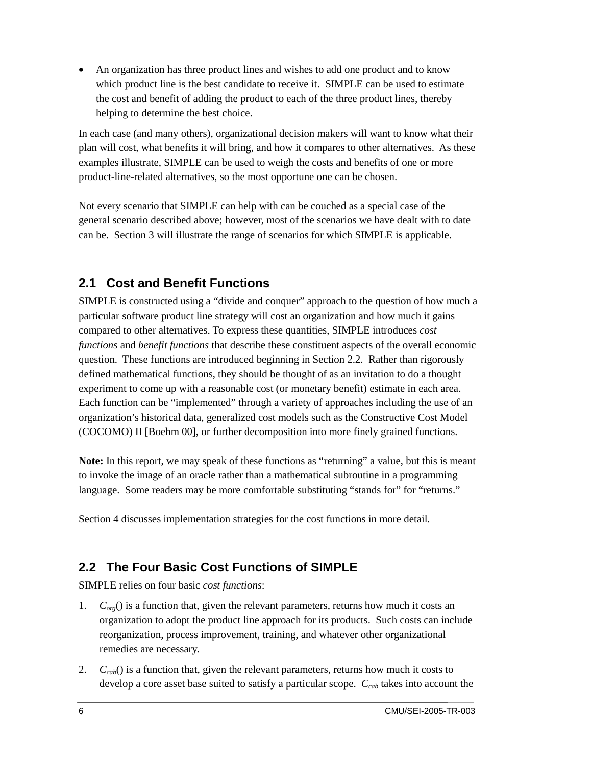• An organization has three product lines and wishes to add one product and to know which product line is the best candidate to receive it. SIMPLE can be used to estimate the cost and benefit of adding the product to each of the three product lines, thereby helping to determine the best choice.

In each case (and many others), organizational decision makers will want to know what their plan will cost, what benefits it will bring, and how it compares to other alternatives. As these examples illustrate, SIMPLE can be used to weigh the costs and benefits of one or more product-line-related alternatives, so the most opportune one can be chosen.

Not every scenario that SIMPLE can help with can be couched as a special case of the general scenario described above; however, most of the scenarios we have dealt with to date can be. Section 3 will illustrate the range of scenarios for which SIMPLE is applicable.

## **2.1 Cost and Benefit Functions**

SIMPLE is constructed using a "divide and conquer" approach to the question of how much a particular software product line strategy will cost an organization and how much it gains compared to other alternatives. To express these quantities, SIMPLE introduces *cost functions* and *benefit functions* that describe these constituent aspects of the overall economic question. These functions are introduced beginning in Section 2.2. Rather than rigorously defined mathematical functions, they should be thought of as an invitation to do a thought experiment to come up with a reasonable cost (or monetary benefit) estimate in each area. Each function can be "implemented" through a variety of approaches including the use of an organization's historical data, generalized cost models such as the Constructive Cost Model (COCOMO) II [Boehm 00], or further decomposition into more finely grained functions.

**Note:** In this report, we may speak of these functions as "returning" a value, but this is meant to invoke the image of an oracle rather than a mathematical subroutine in a programming language. Some readers may be more comfortable substituting "stands for" for "returns."

Section 4 discusses implementation strategies for the cost functions in more detail.

## **2.2 The Four Basic Cost Functions of SIMPLE**

SIMPLE relies on four basic *cost functions*:

- 1.  $C_{\text{org}}(i)$  is a function that, given the relevant parameters, returns how much it costs an organization to adopt the product line approach for its products. Such costs can include reorganization, process improvement, training, and whatever other organizational remedies are necessary.
- 2.  $C_{cab}$ () is a function that, given the relevant parameters, returns how much it costs to develop a core asset base suited to satisfy a particular scope.  $C_{cab}$  takes into account the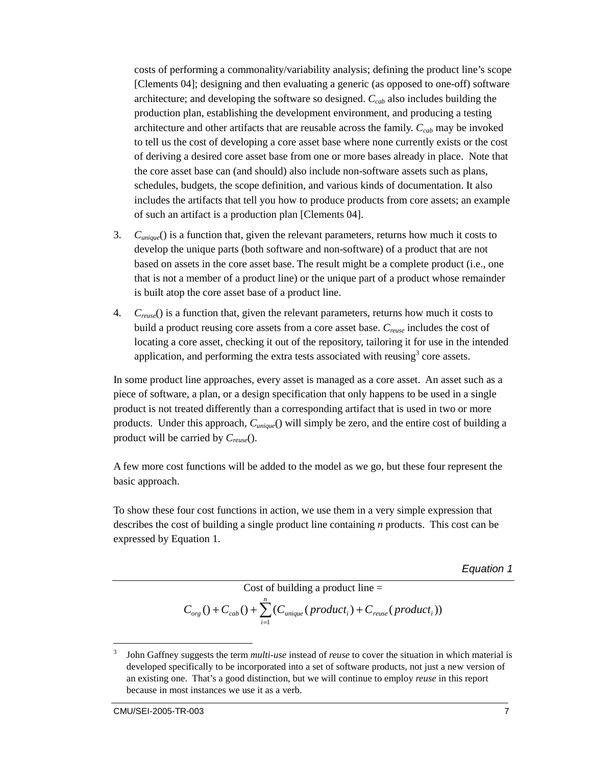costs of performing a commonality/variability analysis; defining the product line's scope [Clements 04]; designing and then evaluating a generic (as opposed to one-off) software architecture; and developing the software so designed. *Ccab* also includes building the production plan, establishing the development environment, and producing a testing architecture and other artifacts that are reusable across the family.  $C_{cab}$  may be invoked to tell us the cost of developing a core asset base where none currently exists or the cost of deriving a desired core asset base from one or more bases already in place. Note that the core asset base can (and should) also include non-software assets such as plans, schedules, budgets, the scope definition, and various kinds of documentation. It also includes the artifacts that tell you how to produce products from core assets; an example of such an artifact is a production plan [Clements 04].

- 3. *Cunique*() is a function that, given the relevant parameters, returns how much it costs to develop the unique parts (both software and non-software) of a product that are not based on assets in the core asset base. The result might be a complete product (i.e., one that is not a member of a product line) or the unique part of a product whose remainder is built atop the core asset base of a product line.
- 4. *Creuse*() is a function that, given the relevant parameters, returns how much it costs to build a product reusing core assets from a core asset base. *Creuse* includes the cost of locating a core asset, checking it out of the repository, tailoring it for use in the intended application, and performing the extra tests associated with reusing<sup>3</sup> core assets.

In some product line approaches, every asset is managed as a core asset. An asset such as a piece of software, a plan, or a design specification that only happens to be used in a single product is not treated differently than a corresponding artifact that is used in two or more products. Under this approach, *Cunique*() will simply be zero, and the entire cost of building a product will be carried by *Creuse*().

A few more cost functions will be added to the model as we go, but these four represent the basic approach.

To show these four cost functions in action, we use them in a very simple expression that describes the cost of building a single product line containing *n* products. This cost can be expressed by Equation 1.

*Equation 1* 

Cost of building a product line =  
\n
$$
C_{org}() + C_{cab}() + \sum_{i=1}^{n} (C_{unique} (product_i) + C_{reuse} (product_i))
$$

 $\overline{a}$ 3 John Gaffney suggests the term *multi-use* instead of *reuse* to cover the situation in which material is developed specifically to be incorporated into a set of software products, not just a new version of an existing one. That's a good distinction, but we will continue to employ *reuse* in this report because in most instances we use it as a verb.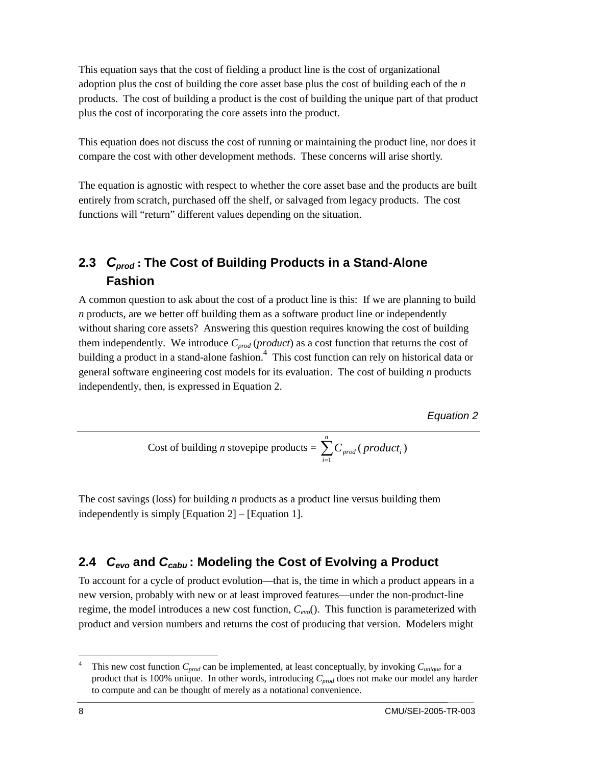This equation says that the cost of fielding a product line is the cost of organizational adoption plus the cost of building the core asset base plus the cost of building each of the *n* products. The cost of building a product is the cost of building the unique part of that product plus the cost of incorporating the core assets into the product.

This equation does not discuss the cost of running or maintaining the product line, nor does it compare the cost with other development methods. These concerns will arise shortly.

The equation is agnostic with respect to whether the core asset base and the products are built entirely from scratch, purchased off the shelf, or salvaged from legacy products. The cost functions will "return" different values depending on the situation.

## **2.3** *Cprod* **: The Cost of Building Products in a Stand-Alone Fashion**

A common question to ask about the cost of a product line is this: If we are planning to build *n* products, are we better off building them as a software product line or independently without sharing core assets? Answering this question requires knowing the cost of building them independently. We introduce  $C_{prod}$  (*product*) as a cost function that returns the cost of building a product in a stand-alone fashion.<sup>4</sup> This cost function can rely on historical data or general software engineering cost models for its evaluation. The cost of building *n* products independently, then, is expressed in Equation 2.

*Equation 2* 

Cost of building *n* stovepipe products = 
$$
\sum_{i=1}^{n} C_{prod}(product_i)
$$

The cost savings (loss) for building *n* products as a product line versus building them independently is simply [Equation 2] – [Equation 1].

### **2.4** *Cevo* **and** *Ccabu* **: Modeling the Cost of Evolving a Product**

To account for a cycle of product evolution—that is, the time in which a product appears in a new version, probably with new or at least improved features—under the non-product-line regime, the model introduces a new cost function, *Cevo*(). This function is parameterized with product and version numbers and returns the cost of producing that version. Modelers might

 $\frac{1}{4}$  This new cost function *Cprod* can be implemented, at least conceptually, by invoking *Cunique* for a product that is 100% unique. In other words, introducing *Cprod* does not make our model any harder to compute and can be thought of merely as a notational convenience.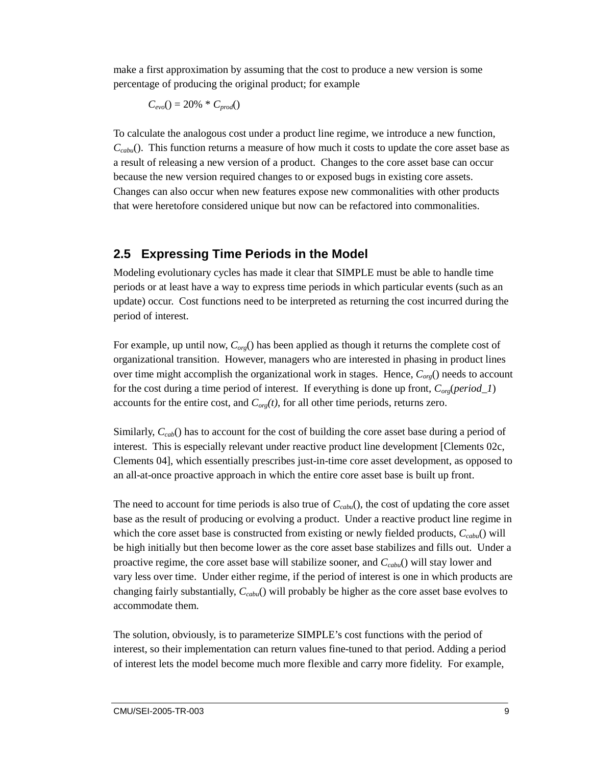make a first approximation by assuming that the cost to produce a new version is some percentage of producing the original product; for example

$$
C_{evo}()=20\% * C_{prod}()
$$

To calculate the analogous cost under a product line regime, we introduce a new function, *Ccabu*(). This function returns a measure of how much it costs to update the core asset base as a result of releasing a new version of a product. Changes to the core asset base can occur because the new version required changes to or exposed bugs in existing core assets. Changes can also occur when new features expose new commonalities with other products that were heretofore considered unique but now can be refactored into commonalities.

### **2.5 Expressing Time Periods in the Model**

Modeling evolutionary cycles has made it clear that SIMPLE must be able to handle time periods or at least have a way to express time periods in which particular events (such as an update) occur. Cost functions need to be interpreted as returning the cost incurred during the period of interest.

For example, up until now,  $C_{org}$ () has been applied as though it returns the complete cost of organizational transition. However, managers who are interested in phasing in product lines over time might accomplish the organizational work in stages. Hence,  $C_{org}$ () needs to account for the cost during a time period of interest. If everything is done up front, *Corg*(*period\_1*) accounts for the entire cost, and  $C_{org}(t)$ , for all other time periods, returns zero.

Similarly,  $C_{cab}$ ) has to account for the cost of building the core asset base during a period of interest. This is especially relevant under reactive product line development [Clements 02c, Clements 04], which essentially prescribes just-in-time core asset development, as opposed to an all-at-once proactive approach in which the entire core asset base is built up front.

The need to account for time periods is also true of  $C_{cabu}$ <sub>()</sub>, the cost of updating the core asset base as the result of producing or evolving a product. Under a reactive product line regime in which the core asset base is constructed from existing or newly fielded products,  $C_{cabu}$ () will be high initially but then become lower as the core asset base stabilizes and fills out. Under a proactive regime, the core asset base will stabilize sooner, and *Ccabu*() will stay lower and vary less over time. Under either regime, if the period of interest is one in which products are changing fairly substantially, *Ccabu*() will probably be higher as the core asset base evolves to accommodate them.

The solution, obviously, is to parameterize SIMPLE's cost functions with the period of interest, so their implementation can return values fine-tuned to that period. Adding a period of interest lets the model become much more flexible and carry more fidelity. For example,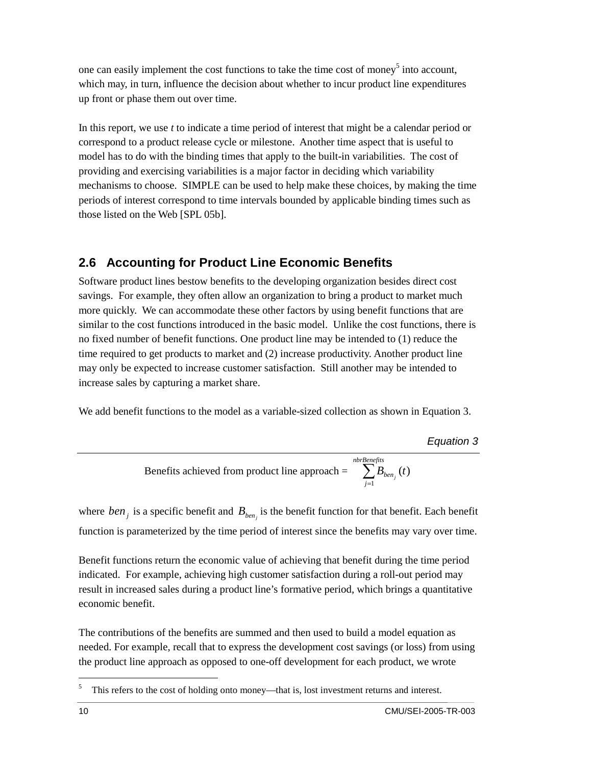one can easily implement the cost functions to take the time cost of money<sup>5</sup> into account, which may, in turn, influence the decision about whether to incur product line expenditures up front or phase them out over time.

In this report, we use *t* to indicate a time period of interest that might be a calendar period or correspond to a product release cycle or milestone. Another time aspect that is useful to model has to do with the binding times that apply to the built-in variabilities. The cost of providing and exercising variabilities is a major factor in deciding which variability mechanisms to choose. SIMPLE can be used to help make these choices, by making the time periods of interest correspond to time intervals bounded by applicable binding times such as those listed on the Web [SPL 05b].

### **2.6 Accounting for Product Line Economic Benefits**

Software product lines bestow benefits to the developing organization besides direct cost savings. For example, they often allow an organization to bring a product to market much more quickly. We can accommodate these other factors by using benefit functions that are similar to the cost functions introduced in the basic model. Unlike the cost functions, there is no fixed number of benefit functions. One product line may be intended to (1) reduce the time required to get products to market and (2) increase productivity. Another product line may only be expected to increase customer satisfaction. Still another may be intended to increase sales by capturing a market share.

We add benefit functions to the model as a variable-sized collection as shown in Equation 3.

*Equation 3* 

Benefits achieved from product line approach = 
$$
\sum_{j=1}^{nbrBenefits} B_{ben_j}(t)
$$

where *ben*<sub>*i*</sub> is a specific benefit and  $B_{ben}$  is the benefit function for that benefit. Each benefit function is parameterized by the time period of interest since the benefits may vary over time.

Benefit functions return the economic value of achieving that benefit during the time period indicated. For example, achieving high customer satisfaction during a roll-out period may result in increased sales during a product line's formative period, which brings a quantitative economic benefit.

The contributions of the benefits are summed and then used to build a model equation as needed. For example, recall that to express the development cost savings (or loss) from using the product line approach as opposed to one-off development for each product, we wrote

 $\overline{a}$ 5 This refers to the cost of holding onto money—that is, lost investment returns and interest.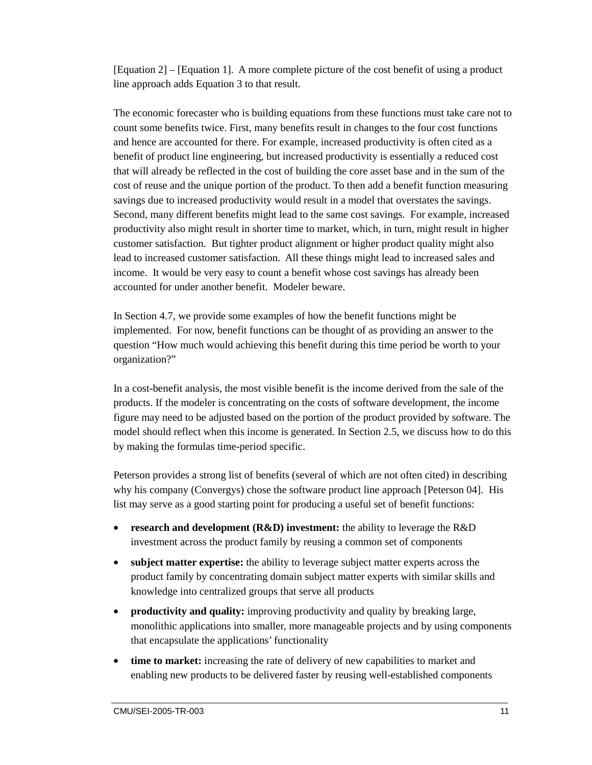[Equation 2] – [Equation 1]. A more complete picture of the cost benefit of using a product line approach adds Equation 3 to that result.

The economic forecaster who is building equations from these functions must take care not to count some benefits twice. First, many benefits result in changes to the four cost functions and hence are accounted for there. For example, increased productivity is often cited as a benefit of product line engineering, but increased productivity is essentially a reduced cost that will already be reflected in the cost of building the core asset base and in the sum of the cost of reuse and the unique portion of the product. To then add a benefit function measuring savings due to increased productivity would result in a model that overstates the savings. Second, many different benefits might lead to the same cost savings. For example, increased productivity also might result in shorter time to market, which, in turn, might result in higher customer satisfaction. But tighter product alignment or higher product quality might also lead to increased customer satisfaction. All these things might lead to increased sales and income. It would be very easy to count a benefit whose cost savings has already been accounted for under another benefit. Modeler beware.

In Section 4.7, we provide some examples of how the benefit functions might be implemented. For now, benefit functions can be thought of as providing an answer to the question "How much would achieving this benefit during this time period be worth to your organization?"

In a cost-benefit analysis, the most visible benefit is the income derived from the sale of the products. If the modeler is concentrating on the costs of software development, the income figure may need to be adjusted based on the portion of the product provided by software. The model should reflect when this income is generated. In Section 2.5, we discuss how to do this by making the formulas time-period specific.

Peterson provides a strong list of benefits (several of which are not often cited) in describing why his company (Convergys) chose the software product line approach [Peterson 04]. His list may serve as a good starting point for producing a useful set of benefit functions:

- **research and development (R&D) investment:** the ability to leverage the R&D investment across the product family by reusing a common set of components
- **subject matter expertise:** the ability to leverage subject matter experts across the product family by concentrating domain subject matter experts with similar skills and knowledge into centralized groups that serve all products
- **productivity and quality:** improving productivity and quality by breaking large, monolithic applications into smaller, more manageable projects and by using components that encapsulate the applications' functionality
- **time to market:** increasing the rate of delivery of new capabilities to market and enabling new products to be delivered faster by reusing well-established components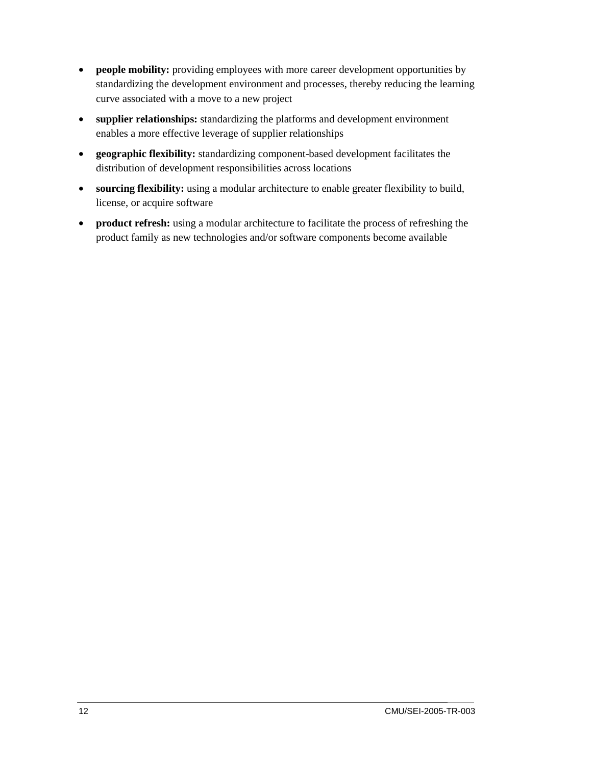- **people mobility:** providing employees with more career development opportunities by standardizing the development environment and processes, thereby reducing the learning curve associated with a move to a new project
- **supplier relationships:** standardizing the platforms and development environment enables a more effective leverage of supplier relationships
- **geographic flexibility:** standardizing component-based development facilitates the distribution of development responsibilities across locations
- **sourcing flexibility:** using a modular architecture to enable greater flexibility to build, license, or acquire software
- **product refresh:** using a modular architecture to facilitate the process of refreshing the product family as new technologies and/or software components become available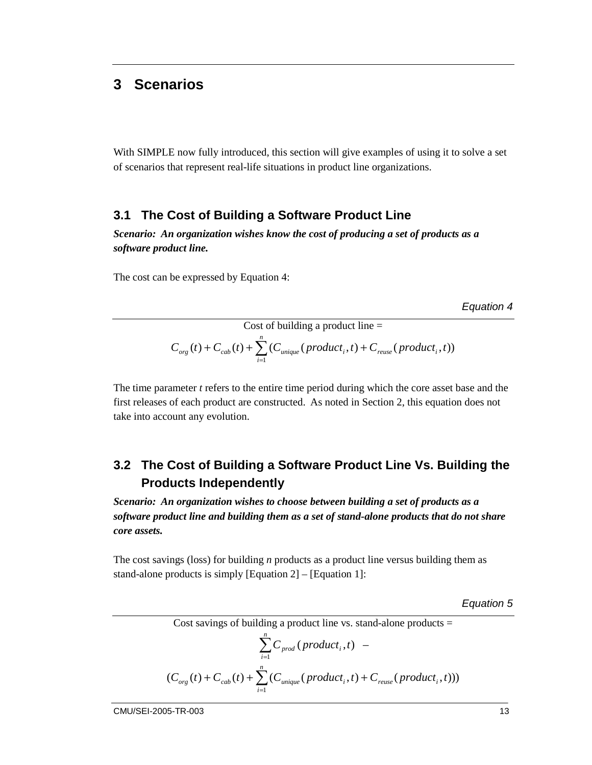#### **3 Scenarios**

With SIMPLE now fully introduced, this section will give examples of using it to solve a set of scenarios that represent real-life situations in product line organizations.

#### **3.1 The Cost of Building a Software Product Line**

*Scenario: An organization wishes know the cost of producing a set of products as a software product line.* 

The cost can be expressed by Equation 4:

*Equation 4* 

Cost of building a product line =  $(t)$  +  $C_{\text{cab}}(t)$  +  $\sum$  ( $C_{\text{unique}}(product_i, t)$  +  $C_{\text{reuse}}(product_i, t)$ ) 1  $C_{org}(t) + C_{cab}(t) + \sum_{r \in a} (C_{unique}(product_i, t) + C_{reuse}(product_i, t))$ *n*  $C_{\text{org}}(t) + C_{\text{cab}}(t) + \sum_{i=1} (C_{\text{unique}}(product_i, t) + \sum_{i=1}^{\infty} (C_{\text{unique}}(product_i, t))$ 

The time parameter *t* refers to the entire time period during which the core asset base and the first releases of each product are constructed. As noted in Section 2, this equation does not take into account any evolution.

#### **3.2 The Cost of Building a Software Product Line Vs. Building the Products Independently**

*Scenario: An organization wishes to choose between building a set of products as a software product line and building them as a set of stand-alone products that do not share core assets.* 

The cost savings (loss) for building *n* products as a product line versus building them as stand-alone products is simply [Equation 2] – [Equation 1]:

*Equation 5* 

Cost savings of building a product line vs. stand-alone products  $=$ 

$$
\sum_{i=1}^{n} C_{prod}(product_i, t) - C_{cab}(t) + C_{cab}(t) + \sum_{i=1}^{n} (C_{unique}(product_i, t) + C_{reuse}(product_i, t)))
$$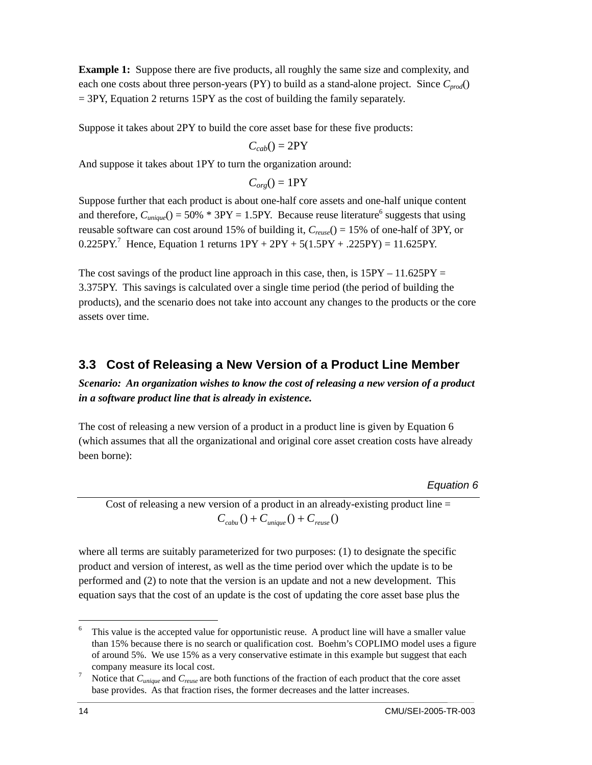**Example 1:** Suppose there are five products, all roughly the same size and complexity, and each one costs about three person-years (PY) to build as a stand-alone project. Since  $C_{prod}()$ = 3PY, Equation 2 returns 15PY as the cost of building the family separately.

Suppose it takes about 2PY to build the core asset base for these five products:

$$
C_{cab}() = 2PY
$$

And suppose it takes about 1PY to turn the organization around:

$$
C_{org}() = 1PY
$$

Suppose further that each product is about one-half core assets and one-half unique content and therefore,  $C_{unique}() = 50\% * 3PY = 1.5PY$ . Because reuse literature<sup>6</sup> suggests that using reusable software can cost around 15% of building it, *Creuse*() = 15% of one-half of 3PY, or 0.225PY.<sup>7</sup> Hence, Equation 1 returns  $1PY + 2PY + 5(1.5PY + .225PY) = 11.625PY.$ 

The cost savings of the product line approach in this case, then, is  $15PY - 11.625PY =$ 3.375PY. This savings is calculated over a single time period (the period of building the products), and the scenario does not take into account any changes to the products or the core assets over time.

#### **3.3 Cost of Releasing a New Version of a Product Line Member**

*Scenario: An organization wishes to know the cost of releasing a new version of a product in a software product line that is already in existence.* 

The cost of releasing a new version of a product in a product line is given by Equation 6 (which assumes that all the organizational and original core asset creation costs have already been borne):

*Equation 6* 

Cost of releasing a new version of a product in an already-existing product line =  $C_{cabu}() + C_{unique}() + C_{reuse}()$ 

where all terms are suitably parameterized for two purposes: (1) to designate the specific product and version of interest, as well as the time period over which the update is to be performed and (2) to note that the version is an update and not a new development. This equation says that the cost of an update is the cost of updating the core asset base plus the

 $\overline{a}$ 

<sup>6</sup> This value is the accepted value for opportunistic reuse. A product line will have a smaller value than 15% because there is no search or qualification cost. Boehm's COPLIMO model uses a figure of around 5%. We use 15% as a very conservative estimate in this example but suggest that each company measure its local cost. 7

Notice that *Cunique* and *Creuse* are both functions of the fraction of each product that the core asset base provides. As that fraction rises, the former decreases and the latter increases.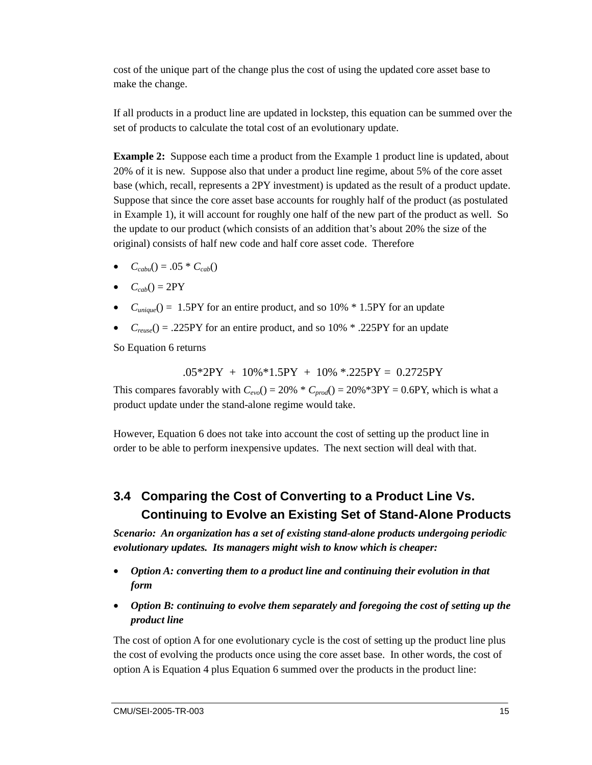cost of the unique part of the change plus the cost of using the updated core asset base to make the change.

If all products in a product line are updated in lockstep, this equation can be summed over the set of products to calculate the total cost of an evolutionary update.

**Example 2:** Suppose each time a product from the Example 1 product line is updated, about 20% of it is new. Suppose also that under a product line regime, about 5% of the core asset base (which, recall, represents a 2PY investment) is updated as the result of a product update. Suppose that since the core asset base accounts for roughly half of the product (as postulated in Example 1), it will account for roughly one half of the new part of the product as well. So the update to our product (which consists of an addition that's about 20% the size of the original) consists of half new code and half core asset code. Therefore

- $C_{cabu}() = .05 * C_{cab}()$
- $\bullet$   $C_{cab}() = 2PY$
- $C_{unique}$   $( ) = 1.5$ PY for an entire product, and so 10%  $*$  1.5PY for an update
- $C_{reuse}$ () = .225PY for an entire product, and so 10%  $*$  .225PY for an update

So Equation 6 returns

 $.05*2PY + 10**1.5PY + 10**225PY = 0.2725PY$ 

This compares favorably with  $C_{evo}()=20\% * C_{prod}()=20\% * 3PY = 0.6PY$ , which is what a product update under the stand-alone regime would take.

However, Equation 6 does not take into account the cost of setting up the product line in order to be able to perform inexpensive updates. The next section will deal with that.

## **3.4 Comparing the Cost of Converting to a Product Line Vs. Continuing to Evolve an Existing Set of Stand-Alone Products**

*Scenario: An organization has a set of existing stand-alone products undergoing periodic evolutionary updates. Its managers might wish to know which is cheaper:* 

- *Option A: converting them to a product line and continuing their evolution in that form*
- *Option B: continuing to evolve them separately and foregoing the cost of setting up the product line*

The cost of option A for one evolutionary cycle is the cost of setting up the product line plus the cost of evolving the products once using the core asset base. In other words, the cost of option A is Equation 4 plus Equation 6 summed over the products in the product line: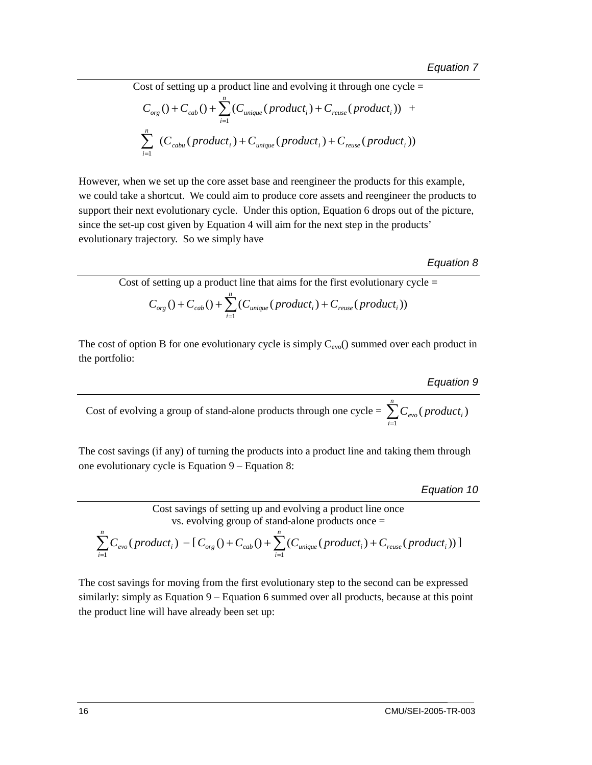Cost of setting up a product line and evolving it through one cycle  $=$ 

$$
C_{org}( ) + C_{cab}( ) + \sum_{i=1}^{n} (C_{unique}(product_i) + C_{reuse}(product_i)) +
$$
  

$$
\sum_{i=1}^{n} (C_{cabu}(product_i) + C_{unique}(product_i) + C_{reuse}(product_i))
$$

However, when we set up the core asset base and reengineer the products for this example, we could take a shortcut. We could aim to produce core assets and reengineer the products to support their next evolutionary cycle. Under this option, Equation 6 drops out of the picture, since the set-up cost given by Equation 4 will aim for the next step in the products' evolutionary trajectory. So we simply have

*Equation 8* 

Cost of setting up a product line that aims for the first evolutionary cycle =  
\n
$$
C_{org}() + C_{cab}() + \sum_{i=1}^{n} (C_{unique}(product_i) + C_{reuse}(product_i))
$$

The cost of option B for one evolutionary cycle is simply  $C_{\text{evo}}($ ) summed over each product in the portfolio:

*Equation 9* 

Cost of evolving a group of stand-alone products through one cycle = 
$$
\sum_{i=1}^{n} C_{evo} (product_i)
$$

The cost savings (if any) of turning the products into a product line and taking them through one evolutionary cycle is Equation 9 – Equation 8:

*Equation 10* 

Cost savings of setting up and evolving a product line once vs. evolving group of stand-alone products once =

$$
\sum_{i=1}^{n} C_{evo}(product_i) - [C_{org}()+C_{cab}()+\sum_{i=1}^{n} (C_{unique}(product_i)+C_{reuse}(product_i))]
$$

The cost savings for moving from the first evolutionary step to the second can be expressed similarly: simply as Equation 9 – Equation 6 summed over all products, because at this point the product line will have already been set up: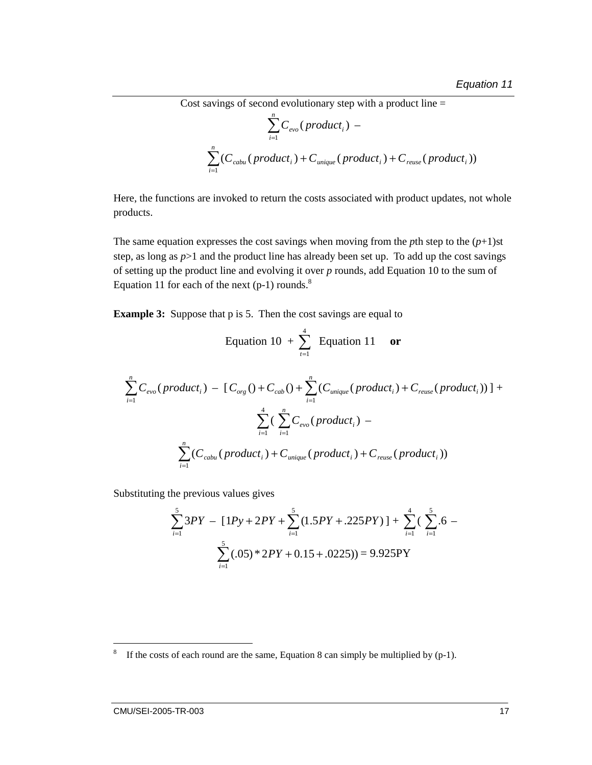Cost savings of second evolutionary step with a product line =

$$
\sum_{i=1}^{n} C_{evo}(product_i) - \sum_{i=1}^{n} (C_{cabu}(product_i) + C_{unique}(product_i) + C_{reuse}(product_i))
$$

Here, the functions are invoked to return the costs associated with product updates, not whole products.

The same equation expresses the cost savings when moving from the *p*th step to the  $(p+1)$ st step, as long as  $p > 1$  and the product line has already been set up. To add up the cost savings of setting up the product line and evolving it over *p* rounds, add Equation 10 to the sum of Equation 11 for each of the next  $(p-1)$  rounds.<sup>8</sup>

**Example 3:** Suppose that p is 5. Then the cost savings are equal to

Equation 10 + 
$$
\sum_{t=1}^{4}
$$
 Equation 11 or

$$
\sum_{i=1}^{n} C_{evo}(\text{product}_{i}) - [C_{org}()+C_{cab})(+\sum_{i=1}^{n} (C_{unique}(\text{product}_{i})+C_{reuse}(\text{product}_{i}))] + \sum_{i=1}^{4} (\sum_{i=1}^{n} C_{evo}(\text{product}_{i}) - \sum_{i=1}^{n} (C_{cabu}(\text{product}_{i})+C_{unique}(\text{product}_{i})+C_{reuse}(\text{product}_{i}))
$$

Substituting the previous values gives

$$
\sum_{i=1}^{5} 3PY - [1Py + 2PY + \sum_{i=1}^{5} (1.5PY + .225PY)] + \sum_{i=1}^{4} (\sum_{i=1}^{5} .6 - \sum_{i=1}^{5} (.05) * 2PY + 0.15 + .0225)) = 9.925PY
$$

 8 If the costs of each round are the same, Equation 8 can simply be multiplied by (p-1).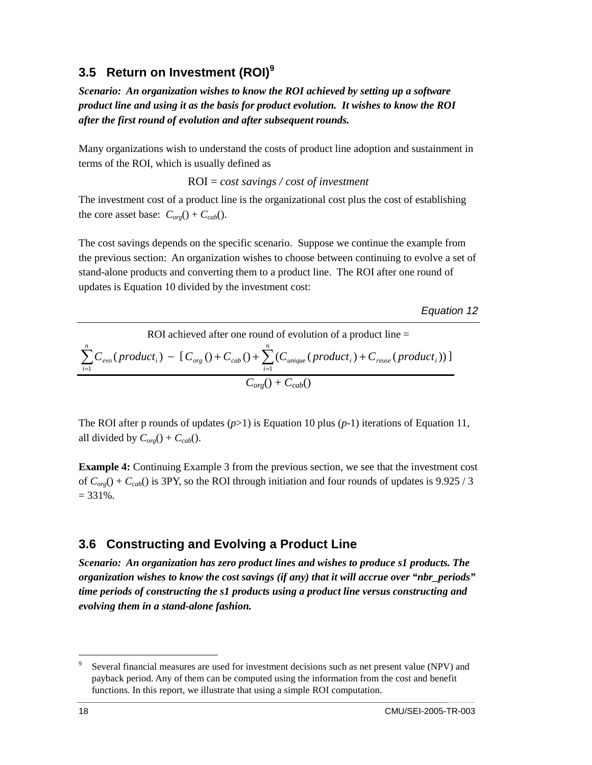#### **3.5 Return on Investment (ROI)<sup>9</sup>**

*Scenario: An organization wishes to know the ROI achieved by setting up a software product line and using it as the basis for product evolution. It wishes to know the ROI after the first round of evolution and after subsequent rounds.* 

Many organizations wish to understand the costs of product line adoption and sustainment in terms of the ROI, which is usually defined as

ROI = *cost savings / cost of investment*

The investment cost of a product line is the organizational cost plus the cost of establishing the core asset base:  $C_{org}() + C_{cab}()$ .

The cost savings depends on the specific scenario. Suppose we continue the example from the previous section: An organization wishes to choose between continuing to evolve a set of stand-alone products and converting them to a product line. The ROI after one round of updates is Equation 10 divided by the investment cost:

*Equation 12* 

ROI achieved after one round of evolution of a product line =  
\n
$$
\sum_{i=1}^{n} C_{evo} (product_i) - [C_{org}() + C_{cab}() + \sum_{i=1}^{n} (C_{unique} (product_i) + C_{reuse} (product_i))]
$$
\n
$$
C_{org}() + C_{cab}()
$$

The ROI after p rounds of updates  $(p>1)$  is Equation 10 plus  $(p-1)$  iterations of Equation 11, all divided by  $C_{org}() + C_{cab}()$ .

**Example 4:** Continuing Example 3 from the previous section, we see that the investment cost of  $C_{org}$ () +  $C_{cab}$ () is 3PY, so the ROI through initiation and four rounds of updates is 9.925 / 3  $= 331\%$ .

### **3.6 Constructing and Evolving a Product Line**

*Scenario: An organization has zero product lines and wishes to produce s1 products. The organization wishes to know the cost savings (if any) that it will accrue over "nbr\_periods" time periods of constructing the s1 products using a product line versus constructing and evolving them in a stand-alone fashion.* 

<sup>-&</sup>lt;br>9 Several financial measures are used for investment decisions such as net present value (NPV) and payback period. Any of them can be computed using the information from the cost and benefit functions. In this report, we illustrate that using a simple ROI computation.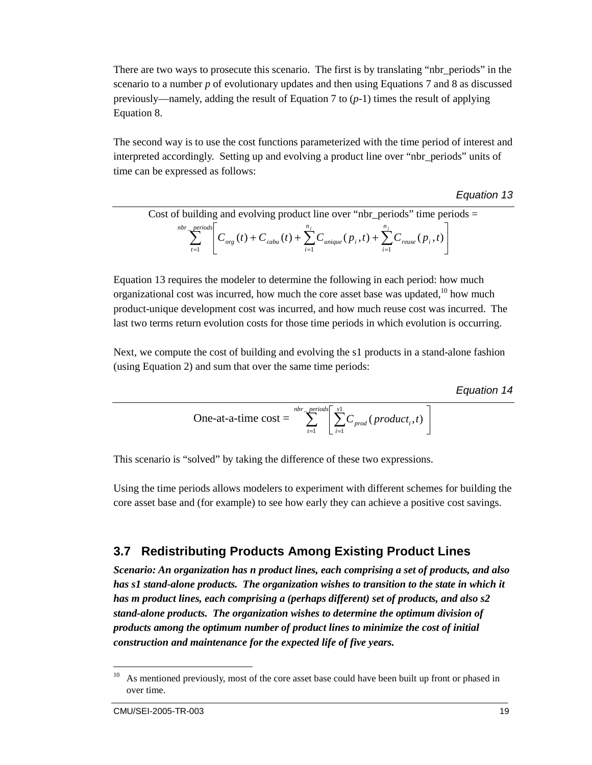There are two ways to prosecute this scenario. The first is by translating "nbr periods" in the scenario to a number *p* of evolutionary updates and then using Equations 7 and 8 as discussed previously—namely, adding the result of Equation 7 to (*p*-1) times the result of applying Equation 8.

The second way is to use the cost functions parameterized with the time period of interest and interpreted accordingly. Setting up and evolving a product line over "nbr periods" units of time can be expressed as follows:

*Equation 13* 

Cost of building and evolving product line over "nbr\\_periods" time periods = 
$$
\sum_{i=1}^{nbr\_periods} \left[ C_{org}(t) + C_{cabu}(t) + \sum_{i=1}^{n_j} C_{unique}(p_i, t) + \sum_{i=1}^{n_j} C_{reuse}(p_i, t) \right]
$$

Equation 13 requires the modeler to determine the following in each period: how much organizational cost was incurred, how much the core asset base was updated,<sup>10</sup> how much product-unique development cost was incurred, and how much reuse cost was incurred. The last two terms return evolution costs for those time periods in which evolution is occurring.

Next, we compute the cost of building and evolving the s1 products in a stand-alone fashion (using Equation 2) and sum that over the same time periods:

*Equation 14* 

One-at-a-time cost = 
$$
\sum_{t=1}^{nbr\_periods} \left[ \sum_{i=1}^{s} C_{prod}(product_i, t) \right]
$$

This scenario is "solved" by taking the difference of these two expressions.

Using the time periods allows modelers to experiment with different schemes for building the core asset base and (for example) to see how early they can achieve a positive cost savings.

#### **3.7 Redistributing Products Among Existing Product Lines**

*Scenario: An organization has n product lines, each comprising a set of products, and also has s1 stand-alone products. The organization wishes to transition to the state in which it has m product lines, each comprising a (perhaps different) set of products, and also s2 stand-alone products. The organization wishes to determine the optimum division of products among the optimum number of product lines to minimize the cost of initial construction and maintenance for the expected life of five years.* 

 $\overline{a}$ 

 $10<sup>10</sup>$  As mentioned previously, most of the core asset base could have been built up front or phased in over time.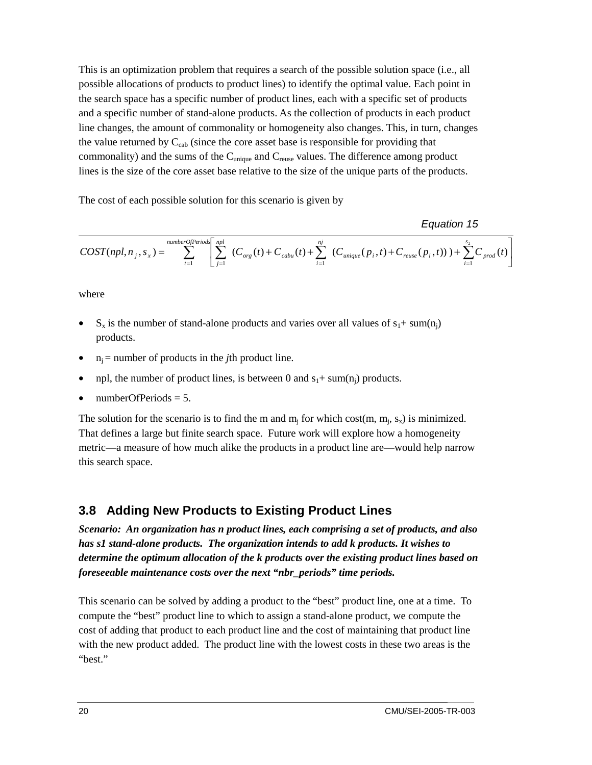This is an optimization problem that requires a search of the possible solution space (i.e., all possible allocations of products to product lines) to identify the optimal value. Each point in the search space has a specific number of product lines, each with a specific set of products and a specific number of stand-alone products. As the collection of products in each product line changes, the amount of commonality or homogeneity also changes. This, in turn, changes the value returned by  $C_{cab}$  (since the core asset base is responsible for providing that commonality) and the sums of the  $C_{\text{unique}}$  and  $C_{\text{reuse}}$  values. The difference among product lines is the size of the core asset base relative to the size of the unique parts of the products.

The cost of each possible solution for this scenario is given by

*Equation 15* 

$$
COST(npl, n_j, s_x) = \sum_{t=1}^{numberOfPeriods} \left[ \sum_{j=1}^{npl} (C_{org}(t) + C_{cabu}(t) + \sum_{i=1}^{nj} (C_{unique}(p_i, t) + C_{reuse}(p_i, t))) + \sum_{i=1}^{s_2} C_{prod}(t) \right]
$$

where

- $S_x$  is the number of stand-alone products and varies over all values of  $s_1$ + sum(n<sub>i</sub>) products.
- $n_i$  = number of products in the *j*th product line.
- npl, the number of product lines, is between 0 and  $s_1$ + sum(n<sub>i</sub>) products.
- $numberOfPeriods = 5.$

The solution for the scenario is to find the m and  $m_i$  for which cost(m,  $m_i$ ,  $s_x$ ) is minimized. That defines a large but finite search space. Future work will explore how a homogeneity metric—a measure of how much alike the products in a product line are—would help narrow this search space.

#### **3.8 Adding New Products to Existing Product Lines**

*Scenario: An organization has n product lines, each comprising a set of products, and also has s1 stand-alone products. The organization intends to add k products. It wishes to determine the optimum allocation of the k products over the existing product lines based on foreseeable maintenance costs over the next "nbr\_periods" time periods.* 

This scenario can be solved by adding a product to the "best" product line, one at a time. To compute the "best" product line to which to assign a stand-alone product, we compute the cost of adding that product to each product line and the cost of maintaining that product line with the new product added. The product line with the lowest costs in these two areas is the "best."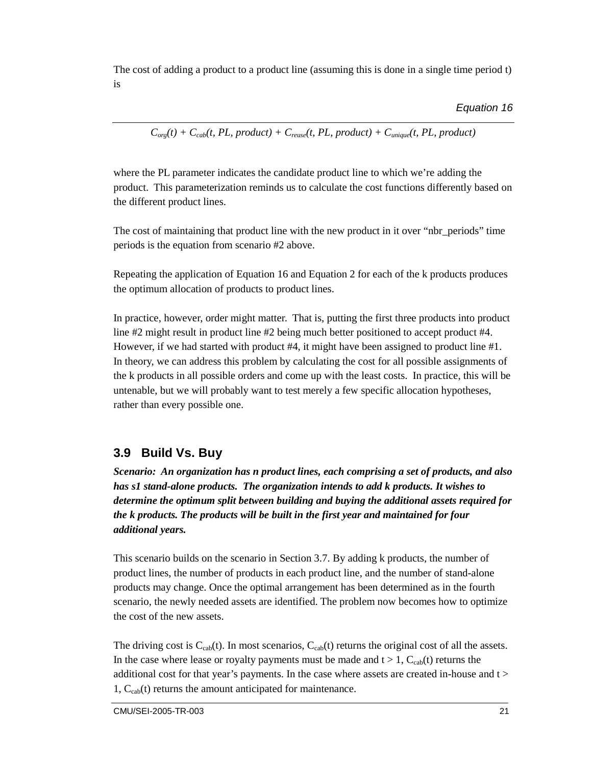The cost of adding a product to a product line (assuming this is done in a single time period t) is

*Equation 16* 

 $C_{\text{cusp}}(t) + C_{\text{cab}}(t, PL, product) + C_{\text{reusc}}(t, PL, product) + C_{\text{unimul}}(t, PL, product)$ 

where the PL parameter indicates the candidate product line to which we're adding the product. This parameterization reminds us to calculate the cost functions differently based on the different product lines.

The cost of maintaining that product line with the new product in it over "nbr\_periods" time periods is the equation from scenario #2 above.

Repeating the application of Equation 16 and Equation 2 for each of the k products produces the optimum allocation of products to product lines.

In practice, however, order might matter. That is, putting the first three products into product line #2 might result in product line #2 being much better positioned to accept product #4. However, if we had started with product #4, it might have been assigned to product line #1. In theory, we can address this problem by calculating the cost for all possible assignments of the k products in all possible orders and come up with the least costs. In practice, this will be untenable, but we will probably want to test merely a few specific allocation hypotheses, rather than every possible one.

### **3.9 Build Vs. Buy**

*Scenario: An organization has n product lines, each comprising a set of products, and also has s1 stand-alone products. The organization intends to add k products. It wishes to determine the optimum split between building and buying the additional assets required for the k products. The products will be built in the first year and maintained for four additional years.* 

This scenario builds on the scenario in Section 3.7. By adding k products, the number of product lines, the number of products in each product line, and the number of stand-alone products may change. Once the optimal arrangement has been determined as in the fourth scenario, the newly needed assets are identified. The problem now becomes how to optimize the cost of the new assets.

The driving cost is  $C_{cab}(t)$ . In most scenarios,  $C_{cab}(t)$  returns the original cost of all the assets. In the case where lease or royalty payments must be made and  $t > 1$ ,  $C_{cab}(t)$  returns the additional cost for that year's payments. In the case where assets are created in-house and t > 1,  $C_{cab}(t)$  returns the amount anticipated for maintenance.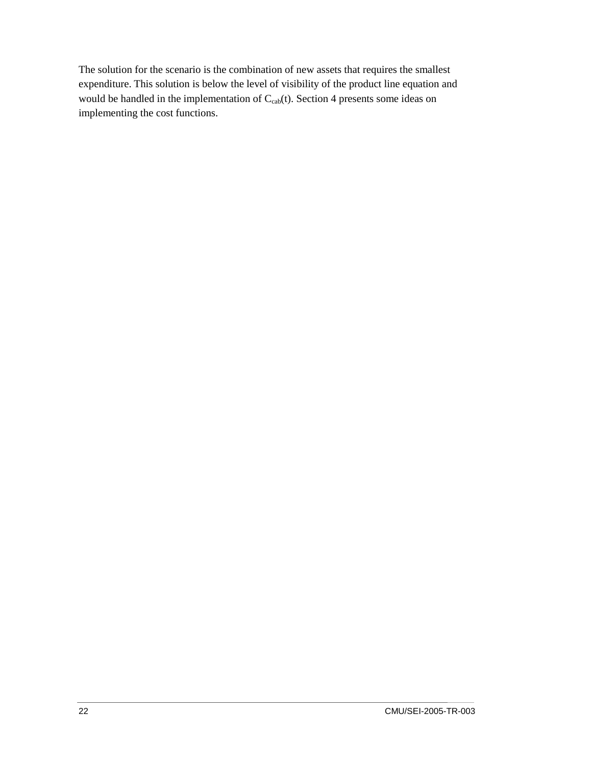The solution for the scenario is the combination of new assets that requires the smallest expenditure. This solution is below the level of visibility of the product line equation and would be handled in the implementation of  $C_{cab}(t)$ . Section 4 presents some ideas on implementing the cost functions.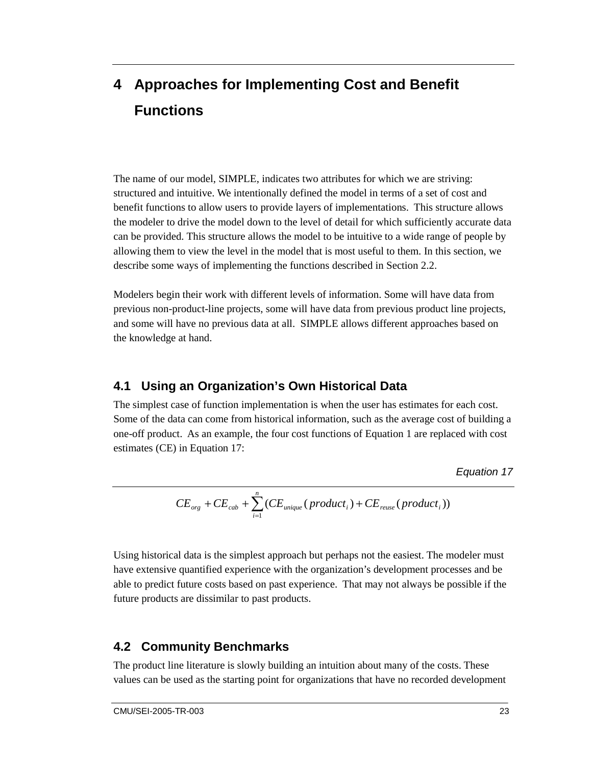## **4 Approaches for Implementing Cost and Benefit Functions**

The name of our model, SIMPLE, indicates two attributes for which we are striving: structured and intuitive. We intentionally defined the model in terms of a set of cost and benefit functions to allow users to provide layers of implementations. This structure allows the modeler to drive the model down to the level of detail for which sufficiently accurate data can be provided. This structure allows the model to be intuitive to a wide range of people by allowing them to view the level in the model that is most useful to them. In this section, we describe some ways of implementing the functions described in Section 2.2.

Modelers begin their work with different levels of information. Some will have data from previous non-product-line projects, some will have data from previous product line projects, and some will have no previous data at all. SIMPLE allows different approaches based on the knowledge at hand.

#### **4.1 Using an Organization's Own Historical Data**

The simplest case of function implementation is when the user has estimates for each cost. Some of the data can come from historical information, such as the average cost of building a one-off product. As an example, the four cost functions of Equation 1 are replaced with cost estimates (CE) in Equation 17:

*Equation 17* 

$$
CE_{org} + CE_{cab} + \sum_{i=1}^{n} (CE_{unique} (product_i) + CE_{reuse} (product_i))
$$

Using historical data is the simplest approach but perhaps not the easiest. The modeler must have extensive quantified experience with the organization's development processes and be able to predict future costs based on past experience. That may not always be possible if the future products are dissimilar to past products.

#### **4.2 Community Benchmarks**

The product line literature is slowly building an intuition about many of the costs. These values can be used as the starting point for organizations that have no recorded development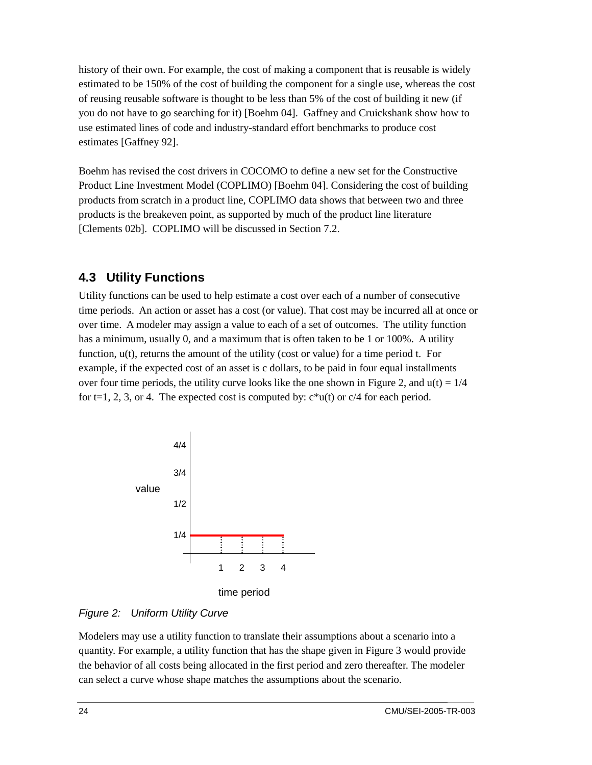history of their own. For example, the cost of making a component that is reusable is widely estimated to be 150% of the cost of building the component for a single use, whereas the cost of reusing reusable software is thought to be less than 5% of the cost of building it new (if you do not have to go searching for it) [Boehm 04]. Gaffney and Cruickshank show how to use estimated lines of code and industry-standard effort benchmarks to produce cost estimates [Gaffney 92].

Boehm has revised the cost drivers in COCOMO to define a new set for the Constructive Product Line Investment Model (COPLIMO) [Boehm 04]. Considering the cost of building products from scratch in a product line, COPLIMO data shows that between two and three products is the breakeven point, as supported by much of the product line literature [Clements 02b]. COPLIMO will be discussed in Section 7.2.

## **4.3 Utility Functions**

Utility functions can be used to help estimate a cost over each of a number of consecutive time periods. An action or asset has a cost (or value). That cost may be incurred all at once or over time. A modeler may assign a value to each of a set of outcomes. The utility function has a minimum, usually 0, and a maximum that is often taken to be 1 or 100%. A utility function, u(t), returns the amount of the utility (cost or value) for a time period t. For example, if the expected cost of an asset is c dollars, to be paid in four equal installments over four time periods, the utility curve looks like the one shown in Figure 2, and  $u(t) = 1/4$ for t=1, 2, 3, or 4. The expected cost is computed by:  $c^*u(t)$  or  $c/4$  for each period.



time period

#### *Figure 2: Uniform Utility Curve*

Modelers may use a utility function to translate their assumptions about a scenario into a quantity. For example, a utility function that has the shape given in Figure 3 would provide the behavior of all costs being allocated in the first period and zero thereafter. The modeler can select a curve whose shape matches the assumptions about the scenario.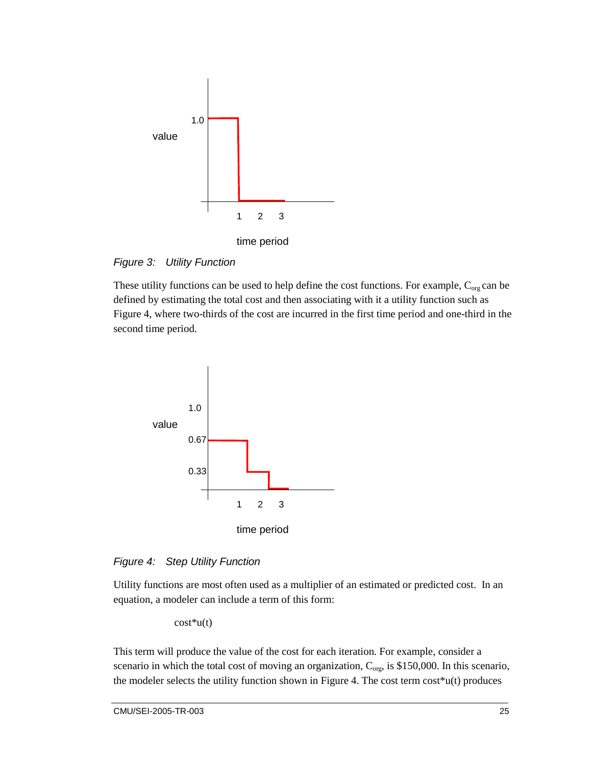

*Figure 3: Utility Function* 

These utility functions can be used to help define the cost functions. For example,  $C_{org}$  can be defined by estimating the total cost and then associating with it a utility function such as Figure 4, where two-thirds of the cost are incurred in the first time period and one-third in the second time period.



#### *Figure 4: Step Utility Function*

Utility functions are most often used as a multiplier of an estimated or predicted cost. In an equation, a modeler can include a term of this form:

 $cost*u(t)$ 

This term will produce the value of the cost for each iteration. For example, consider a scenario in which the total cost of moving an organization,  $C_{org}$ , is \$150,000. In this scenario, the modeler selects the utility function shown in Figure 4. The cost term cost\*u(t) produces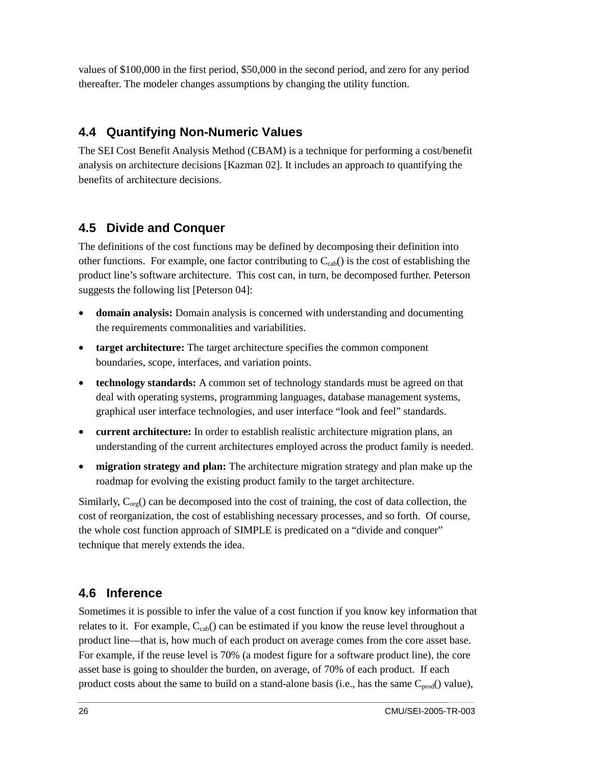values of \$100,000 in the first period, \$50,000 in the second period, and zero for any period thereafter. The modeler changes assumptions by changing the utility function.

### **4.4 Quantifying Non-Numeric Values**

The SEI Cost Benefit Analysis Method (CBAM) is a technique for performing a cost/benefit analysis on architecture decisions [Kazman 02]. It includes an approach to quantifying the benefits of architecture decisions.

## **4.5 Divide and Conquer**

The definitions of the cost functions may be defined by decomposing their definition into other functions. For example, one factor contributing to  $C_{cab}$ ) is the cost of establishing the product line's software architecture. This cost can, in turn, be decomposed further. Peterson suggests the following list [Peterson 04]:

- **domain analysis:** Domain analysis is concerned with understanding and documenting the requirements commonalities and variabilities.
- **target architecture:** The target architecture specifies the common component boundaries, scope, interfaces, and variation points.
- **technology standards:** A common set of technology standards must be agreed on that deal with operating systems, programming languages, database management systems, graphical user interface technologies, and user interface "look and feel" standards.
- **current architecture:** In order to establish realistic architecture migration plans, an understanding of the current architectures employed across the product family is needed.
- **migration strategy and plan:** The architecture migration strategy and plan make up the roadmap for evolving the existing product family to the target architecture.

Similarly,  $C_{org}$ ) can be decomposed into the cost of training, the cost of data collection, the cost of reorganization, the cost of establishing necessary processes, and so forth. Of course, the whole cost function approach of SIMPLE is predicated on a "divide and conquer" technique that merely extends the idea.

## **4.6 Inference**

Sometimes it is possible to infer the value of a cost function if you know key information that relates to it. For example,  $C_{cab}()$  can be estimated if you know the reuse level throughout a product line—that is, how much of each product on average comes from the core asset base. For example, if the reuse level is 70% (a modest figure for a software product line), the core asset base is going to shoulder the burden, on average, of 70% of each product. If each product costs about the same to build on a stand-alone basis (i.e., has the same  $C_{\text{prod}}()$  value),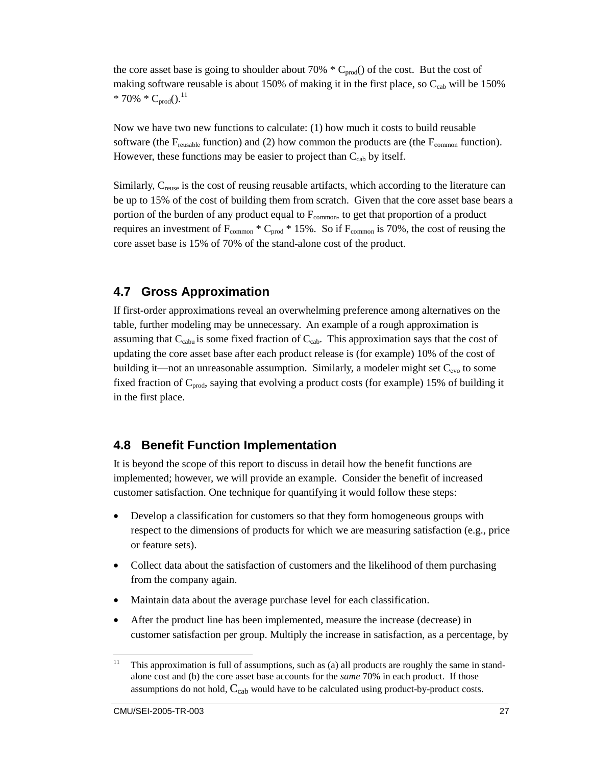the core asset base is going to shoulder about 70%  $^{\ast}$  C<sub>prod</sub>() of the cost. But the cost of making software reusable is about 150% of making it in the first place, so  $C_{cab}$  will be 150% \* 70% \*  $C_{\text{prod}}()$ .<sup>11</sup>

Now we have two new functions to calculate: (1) how much it costs to build reusable software (the  $F_{\text{reusable}}$  function) and (2) how common the products are (the  $F_{\text{common}}$  function). However, these functions may be easier to project than  $C_{cab}$  by itself.

Similarly, C<sub>reuse</sub> is the cost of reusing reusable artifacts, which according to the literature can be up to 15% of the cost of building them from scratch. Given that the core asset base bears a portion of the burden of any product equal to  $F_{common}$ , to get that proportion of a product requires an investment of  $F_{common} * C_{prod} * 15\%$ . So if  $F_{common}$  is 70%, the cost of reusing the core asset base is 15% of 70% of the stand-alone cost of the product.

#### **4.7 Gross Approximation**

If first-order approximations reveal an overwhelming preference among alternatives on the table, further modeling may be unnecessary. An example of a rough approximation is assuming that  $C_{cabu}$  is some fixed fraction of  $C_{cab}$ . This approximation says that the cost of updating the core asset base after each product release is (for example) 10% of the cost of building it—not an unreasonable assumption. Similarly, a modeler might set  $C_{\text{evo}}$  to some fixed fraction of  $C_{\text{prod}}$ , saying that evolving a product costs (for example) 15% of building it in the first place.

#### **4.8 Benefit Function Implementation**

It is beyond the scope of this report to discuss in detail how the benefit functions are implemented; however, we will provide an example. Consider the benefit of increased customer satisfaction. One technique for quantifying it would follow these steps:

- Develop a classification for customers so that they form homogeneous groups with respect to the dimensions of products for which we are measuring satisfaction (e.g., price or feature sets).
- Collect data about the satisfaction of customers and the likelihood of them purchasing from the company again.
- Maintain data about the average purchase level for each classification.
- After the product line has been implemented, measure the increase (decrease) in customer satisfaction per group. Multiply the increase in satisfaction, as a percentage, by

 $11$ 11 This approximation is full of assumptions, such as (a) all products are roughly the same in standalone cost and (b) the core asset base accounts for the *same* 70% in each product. If those assumptions do not hold,  $C_{cab}$  would have to be calculated using product-by-product costs.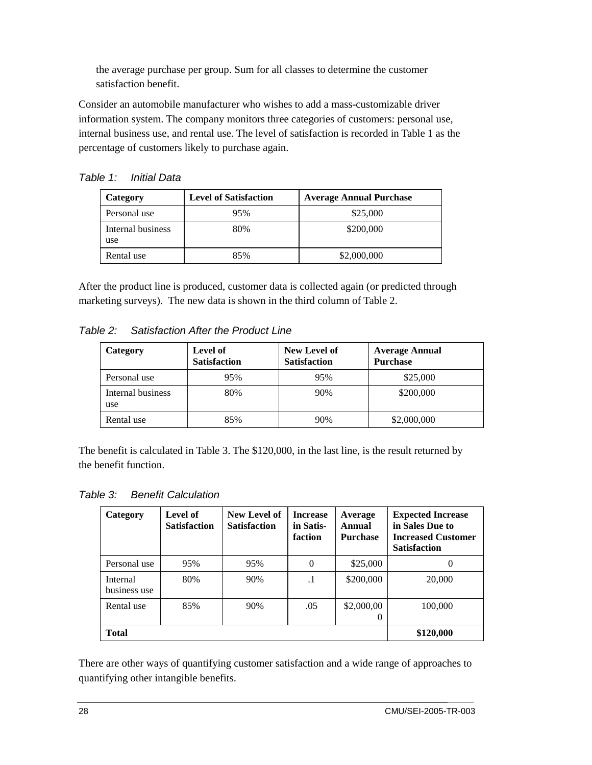the average purchase per group. Sum for all classes to determine the customer satisfaction benefit.

Consider an automobile manufacturer who wishes to add a mass-customizable driver information system. The company monitors three categories of customers: personal use, internal business use, and rental use. The level of satisfaction is recorded in Table 1 as the percentage of customers likely to purchase again.

*Table 1: Initial Data* 

| Category                 | <b>Level of Satisfaction</b> | <b>Average Annual Purchase</b> |
|--------------------------|------------------------------|--------------------------------|
| Personal use             | 95%                          | \$25,000                       |
| Internal business<br>use | 80%                          | \$200,000                      |
| Rental use               | 85%                          | \$2,000,000                    |

After the product line is produced, customer data is collected again (or predicted through marketing surveys). The new data is shown in the third column of Table 2.

*Table 2: Satisfaction After the Product Line* 

| Category                 | <b>Level of</b><br><b>Satisfaction</b> | <b>New Level of</b><br><b>Satisfaction</b> | <b>Average Annual</b><br><b>Purchase</b> |
|--------------------------|----------------------------------------|--------------------------------------------|------------------------------------------|
| Personal use             | 95%                                    | 95%                                        | \$25,000                                 |
| Internal business<br>use | 80%                                    | 90%                                        | \$200,000                                |
| Rental use               | 85%                                    | 90%                                        | \$2,000,000                              |

The benefit is calculated in Table 3. The \$120,000, in the last line, is the result returned by the benefit function.

*Table 3: Benefit Calculation* 

| Category                 | Level of<br><b>Satisfaction</b> | New Level of<br><b>Satisfaction</b> | <b>Increase</b><br>in Satis-<br><b>faction</b> | Average<br>Annual<br><b>Purchase</b> | <b>Expected Increase</b><br>in Sales Due to<br><b>Increased Customer</b><br><b>Satisfaction</b> |
|--------------------------|---------------------------------|-------------------------------------|------------------------------------------------|--------------------------------------|-------------------------------------------------------------------------------------------------|
| Personal use             | 95%                             | 95%                                 | $\Omega$                                       | \$25,000                             |                                                                                                 |
| Internal<br>business use | 80%                             | 90%                                 | $\cdot$ 1                                      | \$200,000                            | 20,000                                                                                          |
| Rental use               | 85%                             | 90%                                 | .05                                            | \$2,000,00<br>$\theta$               | 100,000                                                                                         |
| <b>Total</b>             |                                 |                                     |                                                |                                      | \$120,000                                                                                       |

There are other ways of quantifying customer satisfaction and a wide range of approaches to quantifying other intangible benefits.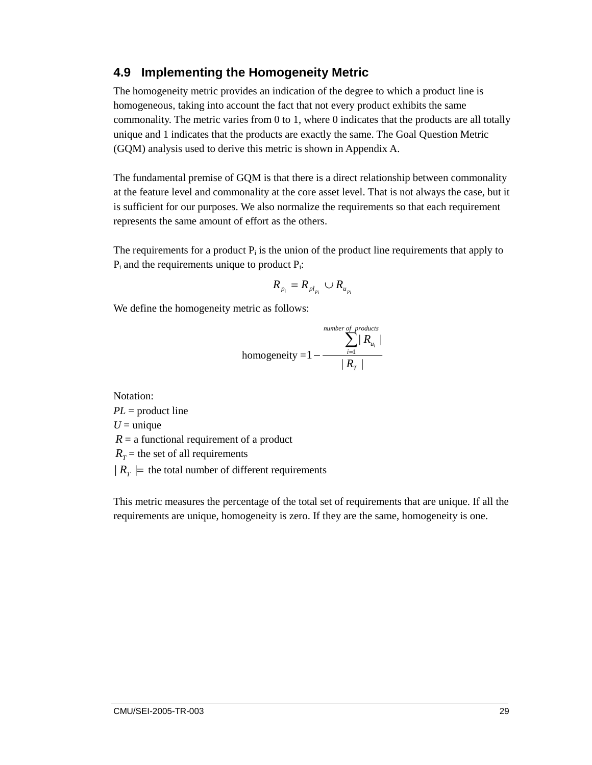### **4.9 Implementing the Homogeneity Metric**

The homogeneity metric provides an indication of the degree to which a product line is homogeneous, taking into account the fact that not every product exhibits the same commonality. The metric varies from  $0$  to 1, where  $0$  indicates that the products are all totally unique and 1 indicates that the products are exactly the same. The Goal Question Metric (GQM) analysis used to derive this metric is shown in Appendix A.

The fundamental premise of GQM is that there is a direct relationship between commonality at the feature level and commonality at the core asset level. That is not always the case, but it is sufficient for our purposes. We also normalize the requirements so that each requirement represents the same amount of effort as the others.

The requirements for a product  $P_i$  is the union of the product line requirements that apply to  $P_i$  and the requirements unique to product  $P_i$ :

$$
R_{p_i} = R_{pl_{p_i}} \cup R_{u_{p_i}}
$$

We define the homogeneity metric as follows:

$$
\text{homogeneity} = 1 - \frac{\sum_{i=1}^{number \text{ of products}} |R_{u_i}|}{|R_T|}
$$

Notation:

*PL* = product line  $U =$  unique *R* = a functional requirement of a product  $R<sub>r</sub>$  = the set of all requirements  $|R<sub>T</sub>|$  = the total number of different requirements

This metric measures the percentage of the total set of requirements that are unique. If all the requirements are unique, homogeneity is zero. If they are the same, homogeneity is one.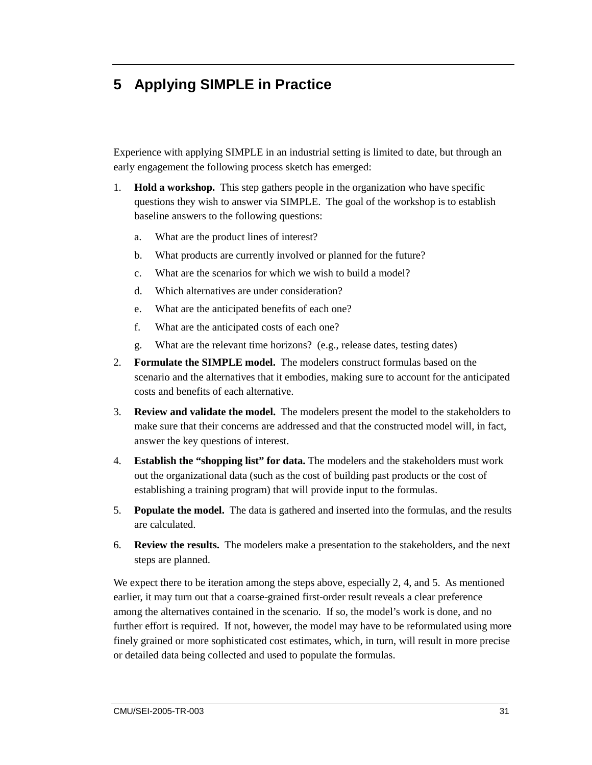## **5 Applying SIMPLE in Practice**

Experience with applying SIMPLE in an industrial setting is limited to date, but through an early engagement the following process sketch has emerged:

- 1. **Hold a workshop.** This step gathers people in the organization who have specific questions they wish to answer via SIMPLE. The goal of the workshop is to establish baseline answers to the following questions:
	- a. What are the product lines of interest?
	- b. What products are currently involved or planned for the future?
	- c. What are the scenarios for which we wish to build a model?
	- d. Which alternatives are under consideration?
	- e. What are the anticipated benefits of each one?
	- f. What are the anticipated costs of each one?
	- g. What are the relevant time horizons? (e.g., release dates, testing dates)
- 2. **Formulate the SIMPLE model.** The modelers construct formulas based on the scenario and the alternatives that it embodies, making sure to account for the anticipated costs and benefits of each alternative.
- 3. **Review and validate the model.** The modelers present the model to the stakeholders to make sure that their concerns are addressed and that the constructed model will, in fact, answer the key questions of interest.
- 4. **Establish the "shopping list" for data.** The modelers and the stakeholders must work out the organizational data (such as the cost of building past products or the cost of establishing a training program) that will provide input to the formulas.
- 5. **Populate the model.** The data is gathered and inserted into the formulas, and the results are calculated.
- 6. **Review the results.** The modelers make a presentation to the stakeholders, and the next steps are planned.

We expect there to be iteration among the steps above, especially 2, 4, and 5. As mentioned earlier, it may turn out that a coarse-grained first-order result reveals a clear preference among the alternatives contained in the scenario. If so, the model's work is done, and no further effort is required. If not, however, the model may have to be reformulated using more finely grained or more sophisticated cost estimates, which, in turn, will result in more precise or detailed data being collected and used to populate the formulas.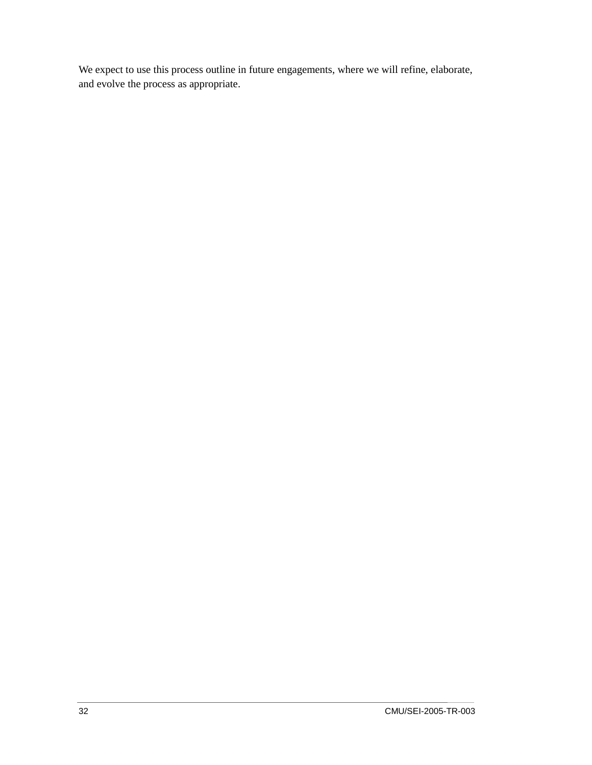We expect to use this process outline in future engagements, where we will refine, elaborate, and evolve the process as appropriate.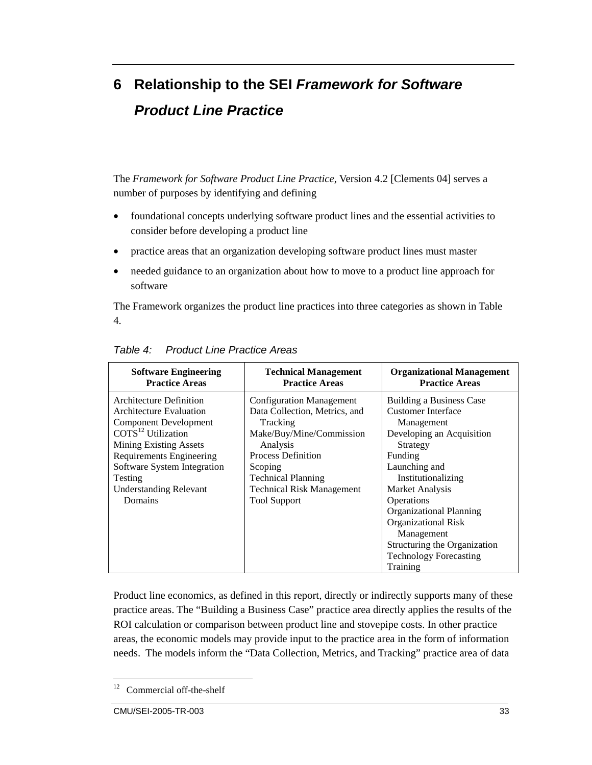# **6 Relationship to the SEI** *Framework for Software Product Line Practice*

The *Framework for Software Product Line Practice*, Version 4.2 [Clements 04] serves a number of purposes by identifying and defining

- foundational concepts underlying software product lines and the essential activities to consider before developing a product line
- practice areas that an organization developing software product lines must master
- needed guidance to an organization about how to move to a product line approach for software

The Framework organizes the product line practices into three categories as shown in Table 4.

| <b>Software Engineering</b><br><b>Practice Areas</b>            | <b>Technical Management</b><br><b>Practice Areas</b>             | <b>Organizational Management</b><br><b>Practice Areas</b> |
|-----------------------------------------------------------------|------------------------------------------------------------------|-----------------------------------------------------------|
| Architecture Definition<br><b>Architecture Evaluation</b>       | <b>Configuration Management</b><br>Data Collection, Metrics, and | Building a Business Case<br>Customer Interface            |
| Component Development                                           | Tracking                                                         | Management                                                |
| COTS <sup>12</sup> Utilization<br><b>Mining Existing Assets</b> | Make/Buy/Mine/Commission<br>Analysis                             | Developing an Acquisition<br>Strategy                     |
| Requirements Engineering                                        | <b>Process Definition</b>                                        | Funding                                                   |
| Software System Integration                                     | Scoping                                                          | Launching and                                             |
| Testing                                                         | <b>Technical Planning</b>                                        | Institutionalizing                                        |
| <b>Understanding Relevant</b>                                   | <b>Technical Risk Management</b>                                 | Market Analysis                                           |
| Domains                                                         | <b>Tool Support</b>                                              | Operations                                                |
|                                                                 |                                                                  | <b>Organizational Planning</b>                            |
|                                                                 |                                                                  | Organizational Risk                                       |
|                                                                 |                                                                  | Management                                                |
|                                                                 |                                                                  | Structuring the Organization                              |
|                                                                 |                                                                  | <b>Technology Forecasting</b>                             |
|                                                                 |                                                                  | Training                                                  |

*Table 4: Product Line Practice Areas* 

Product line economics, as defined in this report, directly or indirectly supports many of these practice areas. The "Building a Business Case" practice area directly applies the results of the ROI calculation or comparison between product line and stovepipe costs. In other practice areas, the economic models may provide input to the practice area in the form of information needs. The models inform the "Data Collection, Metrics, and Tracking" practice area of data

 $12\,$ Commercial off-the-shelf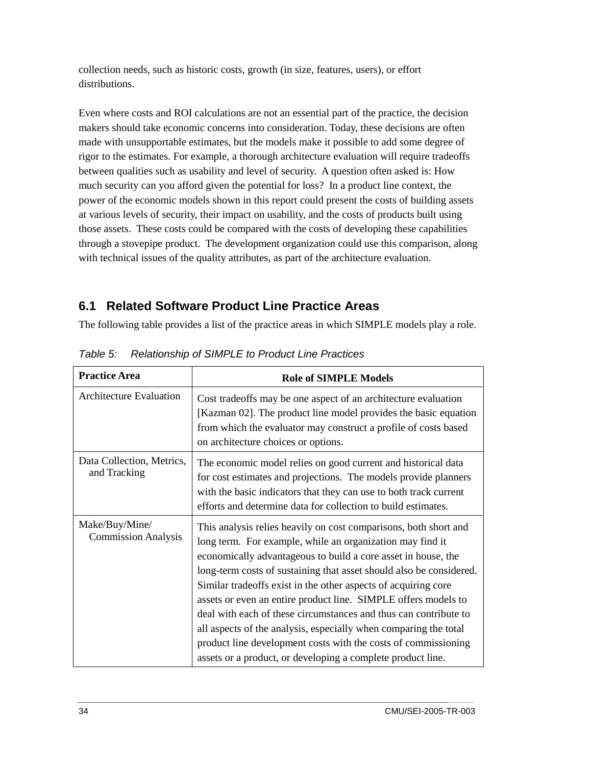collection needs, such as historic costs, growth (in size, features, users), or effort distributions.

Even where costs and ROI calculations are not an essential part of the practice, the decision makers should take economic concerns into consideration. Today, these decisions are often made with unsupportable estimates, but the models make it possible to add some degree of rigor to the estimates. For example, a thorough architecture evaluation will require tradeoffs between qualities such as usability and level of security. A question often asked is: How much security can you afford given the potential for loss? In a product line context, the power of the economic models shown in this report could present the costs of building assets at various levels of security, their impact on usability, and the costs of products built using those assets. These costs could be compared with the costs of developing these capabilities through a stovepipe product. The development organization could use this comparison, along with technical issues of the quality attributes, as part of the architecture evaluation.

## **6.1 Related Software Product Line Practice Areas**

The following table provides a list of the practice areas in which SIMPLE models play a role.

| <b>Practice Area</b>                         | <b>Role of SIMPLE Models</b>                                                                                                                                                                                                                                                                                                                                                                                                                                                                                                                                                                                                                                                       |
|----------------------------------------------|------------------------------------------------------------------------------------------------------------------------------------------------------------------------------------------------------------------------------------------------------------------------------------------------------------------------------------------------------------------------------------------------------------------------------------------------------------------------------------------------------------------------------------------------------------------------------------------------------------------------------------------------------------------------------------|
| Architecture Evaluation                      | Cost tradeoffs may be one aspect of an architecture evaluation<br>[Kazman 02]. The product line model provides the basic equation<br>from which the evaluator may construct a profile of costs based<br>on architecture choices or options.                                                                                                                                                                                                                                                                                                                                                                                                                                        |
| Data Collection, Metrics,<br>and Tracking    | The economic model relies on good current and historical data<br>for cost estimates and projections. The models provide planners<br>with the basic indicators that they can use to both track current<br>efforts and determine data for collection to build estimates.                                                                                                                                                                                                                                                                                                                                                                                                             |
| Make/Buy/Mine/<br><b>Commission Analysis</b> | This analysis relies heavily on cost comparisons, both short and<br>long term. For example, while an organization may find it<br>economically advantageous to build a core asset in house, the<br>long-term costs of sustaining that asset should also be considered.<br>Similar tradeoffs exist in the other aspects of acquiring core<br>assets or even an entire product line. SIMPLE offers models to<br>deal with each of these circumstances and thus can contribute to<br>all aspects of the analysis, especially when comparing the total<br>product line development costs with the costs of commissioning<br>assets or a product, or developing a complete product line. |

*Table 5: Relationship of SIMPLE to Product Line Practices*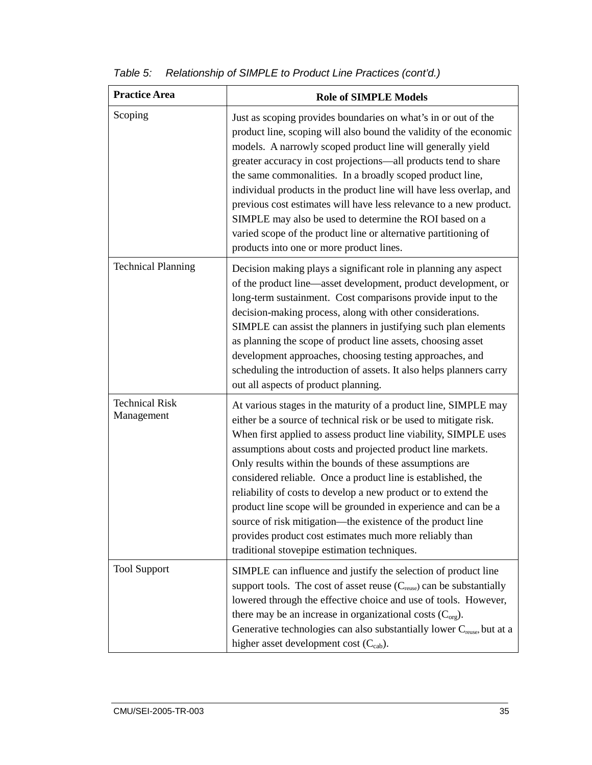| <b>Practice Area</b>                | <b>Role of SIMPLE Models</b>                                                                                                                                                                                                                                                                                                                                                                                                                                                                                                                                                                                                                                                                                     |
|-------------------------------------|------------------------------------------------------------------------------------------------------------------------------------------------------------------------------------------------------------------------------------------------------------------------------------------------------------------------------------------------------------------------------------------------------------------------------------------------------------------------------------------------------------------------------------------------------------------------------------------------------------------------------------------------------------------------------------------------------------------|
| Scoping                             | Just as scoping provides boundaries on what's in or out of the<br>product line, scoping will also bound the validity of the economic<br>models. A narrowly scoped product line will generally yield<br>greater accuracy in cost projections-all products tend to share<br>the same commonalities. In a broadly scoped product line,<br>individual products in the product line will have less overlap, and<br>previous cost estimates will have less relevance to a new product.<br>SIMPLE may also be used to determine the ROI based on a<br>varied scope of the product line or alternative partitioning of<br>products into one or more product lines.                                                       |
| <b>Technical Planning</b>           | Decision making plays a significant role in planning any aspect<br>of the product line—asset development, product development, or<br>long-term sustainment. Cost comparisons provide input to the<br>decision-making process, along with other considerations.<br>SIMPLE can assist the planners in justifying such plan elements<br>as planning the scope of product line assets, choosing asset<br>development approaches, choosing testing approaches, and<br>scheduling the introduction of assets. It also helps planners carry<br>out all aspects of product planning.                                                                                                                                     |
| <b>Technical Risk</b><br>Management | At various stages in the maturity of a product line, SIMPLE may<br>either be a source of technical risk or be used to mitigate risk.<br>When first applied to assess product line viability, SIMPLE uses<br>assumptions about costs and projected product line markets.<br>Only results within the bounds of these assumptions are<br>considered reliable. Once a product line is established, the<br>reliability of costs to develop a new product or to extend the<br>product line scope will be grounded in experience and can be a<br>source of risk mitigation—the existence of the product line<br>provides product cost estimates much more reliably than<br>traditional stovepipe estimation techniques. |
| <b>Tool Support</b>                 | SIMPLE can influence and justify the selection of product line<br>support tools. The cost of asset reuse $(C_{\text{reuse}})$ can be substantially<br>lowered through the effective choice and use of tools. However,<br>there may be an increase in organizational costs $(C_{org})$ .<br>Generative technologies can also substantially lower C <sub>reuse</sub> , but at a<br>higher asset development cost $(C_{cab})$ .                                                                                                                                                                                                                                                                                     |

#### *Table 5: Relationship of SIMPLE to Product Line Practices (cont'd.)*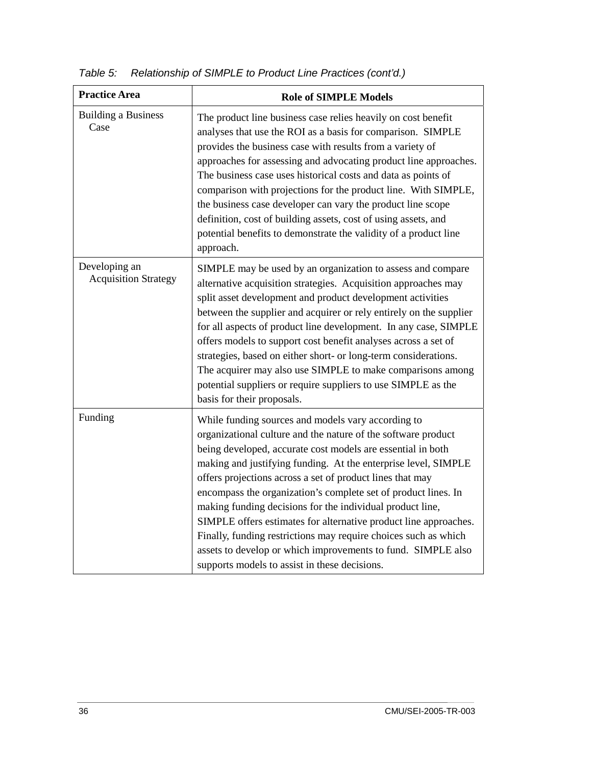| <b>Practice Area</b>                         | <b>Role of SIMPLE Models</b>                                                                                                                                                                                                                                                                                                                                                                                                                                                                                                                                                                                                                                                                             |
|----------------------------------------------|----------------------------------------------------------------------------------------------------------------------------------------------------------------------------------------------------------------------------------------------------------------------------------------------------------------------------------------------------------------------------------------------------------------------------------------------------------------------------------------------------------------------------------------------------------------------------------------------------------------------------------------------------------------------------------------------------------|
| <b>Building a Business</b><br>Case           | The product line business case relies heavily on cost benefit<br>analyses that use the ROI as a basis for comparison. SIMPLE<br>provides the business case with results from a variety of<br>approaches for assessing and advocating product line approaches.<br>The business case uses historical costs and data as points of<br>comparison with projections for the product line. With SIMPLE,<br>the business case developer can vary the product line scope<br>definition, cost of building assets, cost of using assets, and<br>potential benefits to demonstrate the validity of a product line<br>approach.                                                                                       |
| Developing an<br><b>Acquisition Strategy</b> | SIMPLE may be used by an organization to assess and compare<br>alternative acquisition strategies. Acquisition approaches may<br>split asset development and product development activities<br>between the supplier and acquirer or rely entirely on the supplier<br>for all aspects of product line development. In any case, SIMPLE<br>offers models to support cost benefit analyses across a set of<br>strategies, based on either short- or long-term considerations.<br>The acquirer may also use SIMPLE to make comparisons among<br>potential suppliers or require suppliers to use SIMPLE as the<br>basis for their proposals.                                                                  |
| Funding                                      | While funding sources and models vary according to<br>organizational culture and the nature of the software product<br>being developed, accurate cost models are essential in both<br>making and justifying funding. At the enterprise level, SIMPLE<br>offers projections across a set of product lines that may<br>encompass the organization's complete set of product lines. In<br>making funding decisions for the individual product line,<br>SIMPLE offers estimates for alternative product line approaches.<br>Finally, funding restrictions may require choices such as which<br>assets to develop or which improvements to fund. SIMPLE also<br>supports models to assist in these decisions. |

*Table 5: Relationship of SIMPLE to Product Line Practices (cont'd.)*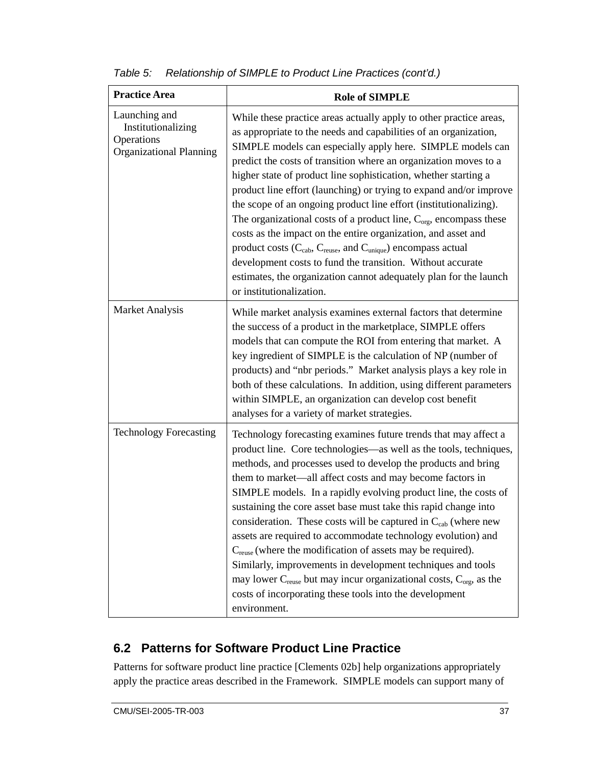| <b>Practice Area</b>                                                                | <b>Role of SIMPLE</b>                                                                                                                                                                                                                                                                                                                                                                                                                                                                                                                                                                                                                                                                                                                                                                                                                                                                                  |
|-------------------------------------------------------------------------------------|--------------------------------------------------------------------------------------------------------------------------------------------------------------------------------------------------------------------------------------------------------------------------------------------------------------------------------------------------------------------------------------------------------------------------------------------------------------------------------------------------------------------------------------------------------------------------------------------------------------------------------------------------------------------------------------------------------------------------------------------------------------------------------------------------------------------------------------------------------------------------------------------------------|
| Launching and<br>Institutionalizing<br>Operations<br><b>Organizational Planning</b> | While these practice areas actually apply to other practice areas,<br>as appropriate to the needs and capabilities of an organization,<br>SIMPLE models can especially apply here. SIMPLE models can<br>predict the costs of transition where an organization moves to a<br>higher state of product line sophistication, whether starting a<br>product line effort (launching) or trying to expand and/or improve<br>the scope of an ongoing product line effort (institutionalizing).<br>The organizational costs of a product line, $C_{org}$ , encompass these<br>costs as the impact on the entire organization, and asset and<br>product costs (C <sub>cab</sub> , C <sub>reuse</sub> , and C <sub>unique</sub> ) encompass actual<br>development costs to fund the transition. Without accurate<br>estimates, the organization cannot adequately plan for the launch<br>or institutionalization. |
| Market Analysis                                                                     | While market analysis examines external factors that determine<br>the success of a product in the marketplace, SIMPLE offers<br>models that can compute the ROI from entering that market. A<br>key ingredient of SIMPLE is the calculation of NP (number of<br>products) and "nbr periods." Market analysis plays a key role in<br>both of these calculations. In addition, using different parameters<br>within SIMPLE, an organization can develop cost benefit<br>analyses for a variety of market strategies.                                                                                                                                                                                                                                                                                                                                                                                     |
| <b>Technology Forecasting</b>                                                       | Technology forecasting examines future trends that may affect a<br>product line. Core technologies—as well as the tools, techniques,<br>methods, and processes used to develop the products and bring<br>them to market—all affect costs and may become factors in<br>SIMPLE models. In a rapidly evolving product line, the costs of<br>sustaining the core asset base must take this rapid change into<br>consideration. These costs will be captured in $C_{cab}$ (where new<br>assets are required to accommodate technology evolution) and<br>$C_{\text{reuse}}$ (where the modification of assets may be required).<br>Similarly, improvements in development techniques and tools<br>may lower $C_{\text{reuse}}$ but may incur organizational costs, $C_{\text{org}}$ , as the<br>costs of incorporating these tools into the development<br>environment.                                      |

*Table 5: Relationship of SIMPLE to Product Line Practices (cont'd.)*

### **6.2 Patterns for Software Product Line Practice**

Patterns for software product line practice [Clements 02b] help organizations appropriately apply the practice areas described in the Framework. SIMPLE models can support many of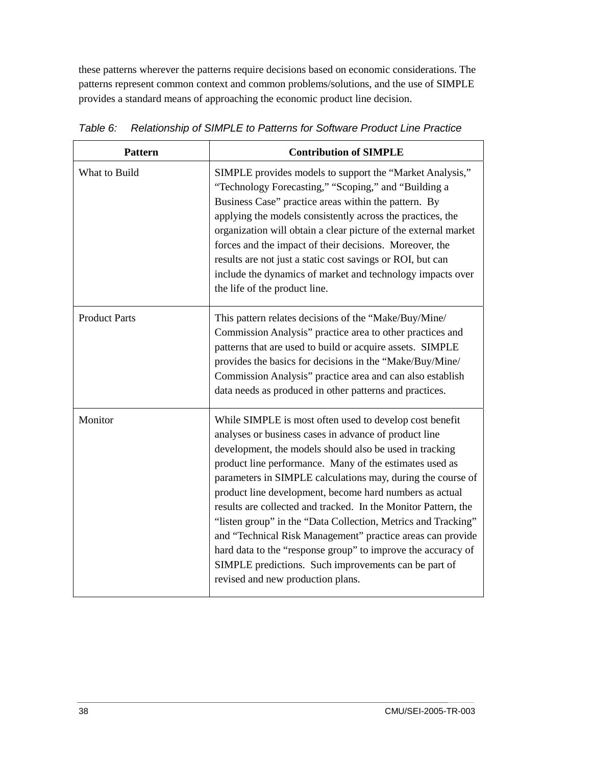these patterns wherever the patterns require decisions based on economic considerations. The patterns represent common context and common problems/solutions, and the use of SIMPLE provides a standard means of approaching the economic product line decision.

| <b>Pattern</b>       | <b>Contribution of SIMPLE</b>                                                                                                                                                                                                                                                                                                                                                                                                                                                                                                                                                                                                                                                                                                  |
|----------------------|--------------------------------------------------------------------------------------------------------------------------------------------------------------------------------------------------------------------------------------------------------------------------------------------------------------------------------------------------------------------------------------------------------------------------------------------------------------------------------------------------------------------------------------------------------------------------------------------------------------------------------------------------------------------------------------------------------------------------------|
| What to Build        | SIMPLE provides models to support the "Market Analysis,"<br>"Technology Forecasting," "Scoping," and "Building a<br>Business Case" practice areas within the pattern. By<br>applying the models consistently across the practices, the<br>organization will obtain a clear picture of the external market<br>forces and the impact of their decisions. Moreover, the<br>results are not just a static cost savings or ROI, but can<br>include the dynamics of market and technology impacts over<br>the life of the product line.                                                                                                                                                                                              |
| <b>Product Parts</b> | This pattern relates decisions of the "Make/Buy/Mine/<br>Commission Analysis" practice area to other practices and<br>patterns that are used to build or acquire assets. SIMPLE<br>provides the basics for decisions in the "Make/Buy/Mine/<br>Commission Analysis" practice area and can also establish<br>data needs as produced in other patterns and practices.                                                                                                                                                                                                                                                                                                                                                            |
| Monitor              | While SIMPLE is most often used to develop cost benefit<br>analyses or business cases in advance of product line<br>development, the models should also be used in tracking<br>product line performance. Many of the estimates used as<br>parameters in SIMPLE calculations may, during the course of<br>product line development, become hard numbers as actual<br>results are collected and tracked. In the Monitor Pattern, the<br>"listen group" in the "Data Collection, Metrics and Tracking"<br>and "Technical Risk Management" practice areas can provide<br>hard data to the "response group" to improve the accuracy of<br>SIMPLE predictions. Such improvements can be part of<br>revised and new production plans. |

*Table 6: Relationship of SIMPLE to Patterns for Software Product Line Practice*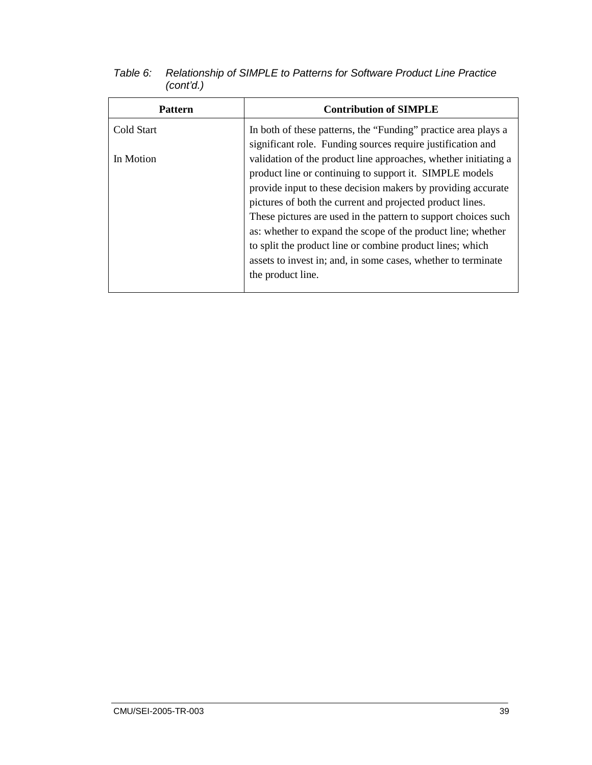| <b>Pattern</b> | <b>Contribution of SIMPLE</b>                                   |  |
|----------------|-----------------------------------------------------------------|--|
| Cold Start     | In both of these patterns, the "Funding" practice area plays a  |  |
|                | significant role. Funding sources require justification and     |  |
| In Motion      | validation of the product line approaches, whether initiating a |  |
|                | product line or continuing to support it. SIMPLE models         |  |
|                | provide input to these decision makers by providing accurate    |  |
|                | pictures of both the current and projected product lines.       |  |
|                | These pictures are used in the pattern to support choices such  |  |
|                | as: whether to expand the scope of the product line; whether    |  |
|                | to split the product line or combine product lines; which       |  |
|                | assets to invest in; and, in some cases, whether to terminate   |  |
|                | the product line.                                               |  |
|                |                                                                 |  |

*Table 6: Relationship of SIMPLE to Patterns for Software Product Line Practice (cont'd.)*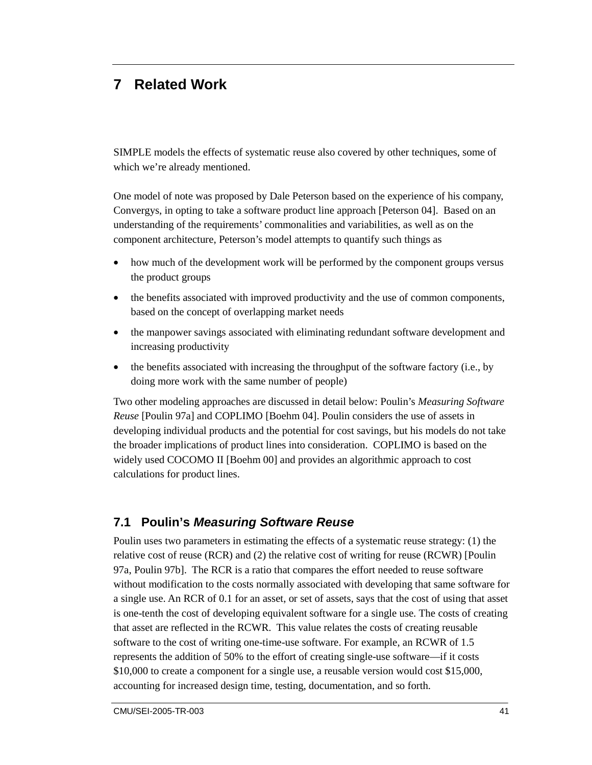## **7 Related Work**

SIMPLE models the effects of systematic reuse also covered by other techniques, some of which we're already mentioned.

One model of note was proposed by Dale Peterson based on the experience of his company, Convergys, in opting to take a software product line approach [Peterson 04]. Based on an understanding of the requirements' commonalities and variabilities, as well as on the component architecture, Peterson's model attempts to quantify such things as

- how much of the development work will be performed by the component groups versus the product groups
- the benefits associated with improved productivity and the use of common components, based on the concept of overlapping market needs
- the manpower savings associated with eliminating redundant software development and increasing productivity
- the benefits associated with increasing the throughput of the software factory (i.e., by doing more work with the same number of people)

Two other modeling approaches are discussed in detail below: Poulin's *Measuring Software Reuse* [Poulin 97a] and COPLIMO [Boehm 04]. Poulin considers the use of assets in developing individual products and the potential for cost savings, but his models do not take the broader implications of product lines into consideration. COPLIMO is based on the widely used COCOMO II [Boehm 00] and provides an algorithmic approach to cost calculations for product lines.

## **7.1 Poulin's** *Measuring Software Reuse*

Poulin uses two parameters in estimating the effects of a systematic reuse strategy: (1) the relative cost of reuse (RCR) and (2) the relative cost of writing for reuse (RCWR) [Poulin 97a, Poulin 97b]. The RCR is a ratio that compares the effort needed to reuse software without modification to the costs normally associated with developing that same software for a single use. An RCR of 0.1 for an asset, or set of assets, says that the cost of using that asset is one-tenth the cost of developing equivalent software for a single use*.* The costs of creating that asset are reflected in the RCWR. This value relates the costs of creating reusable software to the cost of writing one-time-use software. For example, an RCWR of 1.5 represents the addition of 50% to the effort of creating single-use software—if it costs \$10,000 to create a component for a single use, a reusable version would cost \$15,000, accounting for increased design time, testing, documentation, and so forth.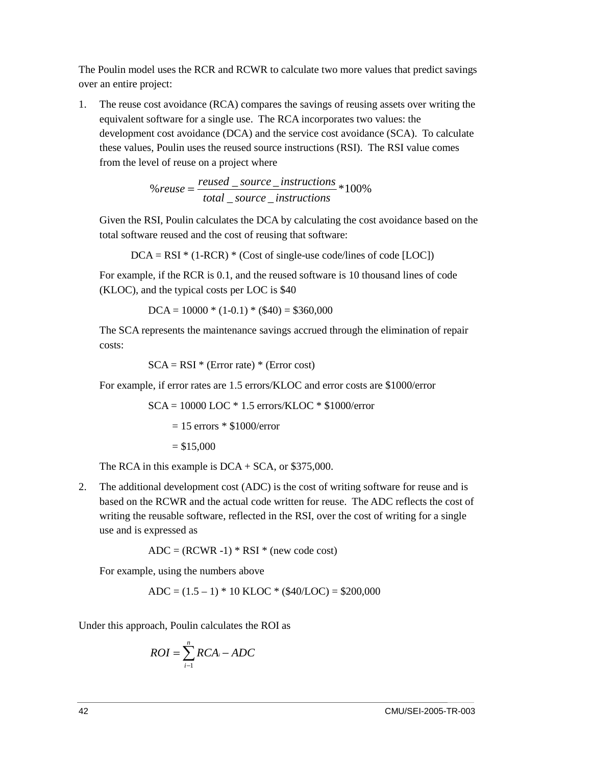The Poulin model uses the RCR and RCWR to calculate two more values that predict savings over an entire project:

1. The reuse cost avoidance (RCA) compares the savings of reusing assets over writing the equivalent software for a single use. The RCA incorporates two values: the development cost avoidance (DCA) and the service cost avoidance (SCA). To calculate these values, Poulin uses the reused source instructions (RSI). The RSI value comes from the level of reuse on a project where

$$
\% reuse = \frac{reused\_source\_ instructions}{total\_source\_ instructions} * 100\%
$$

Given the RSI, Poulin calculates the DCA by calculating the cost avoidance based on the total software reused and the cost of reusing that software:

 $DCA = RSI * (1-RCR) * (Cost of single-use code/lines of code [LOC])$ 

For example, if the RCR is 0.1, and the reused software is 10 thousand lines of code (KLOC), and the typical costs per LOC is \$40

 $DCA = 10000 * (1-0.1) * ($40) = $360,000$ 

The SCA represents the maintenance savings accrued through the elimination of repair costs:

 $SCA = RSI * (Error rate) * (Error cost)$ 

For example, if error rates are 1.5 errors/KLOC and error costs are \$1000/error

 $SCA = 10000$  LOC  $* 1.5$  errors/KLOC  $* 1000$ /error  $= 15$  errors  $*$  \$1000/error

 $= $15,000$ 

The RCA in this example is  $DCA + SCA$ , or \$375,000.

2. The additional development cost (ADC) is the cost of writing software for reuse and is based on the RCWR and the actual code written for reuse. The ADC reflects the cost of writing the reusable software, reflected in the RSI, over the cost of writing for a single use and is expressed as

 $ADC = (RCWR - 1) * RSI * (new code cost)$ 

For example, using the numbers above

 $ADC = (1.5 - 1) * 10$  KLOC  $*(\$40/\text{LOC}) = \$200,000$ 

Under this approach, Poulin calculates the ROI as

$$
ROI = \sum_{i=1}^{n} RCA_i - ADC
$$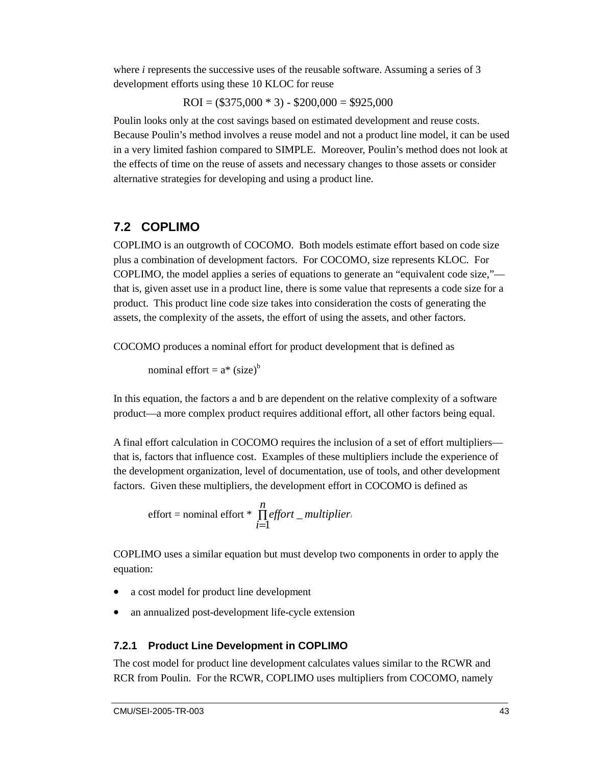where *i* represents the successive uses of the reusable software. Assuming a series of 3 development efforts using these 10 KLOC for reuse

 $ROI = ($375,000 * 3) - $200,000 = $925,000$ 

Poulin looks only at the cost savings based on estimated development and reuse costs. Because Poulin's method involves a reuse model and not a product line model, it can be used in a very limited fashion compared to SIMPLE. Moreover, Poulin's method does not look at the effects of time on the reuse of assets and necessary changes to those assets or consider alternative strategies for developing and using a product line.

## **7.2 COPLIMO**

COPLIMO is an outgrowth of COCOMO. Both models estimate effort based on code size plus a combination of development factors. For COCOMO, size represents KLOC. For COPLIMO, the model applies a series of equations to generate an "equivalent code size," that is, given asset use in a product line, there is some value that represents a code size for a product. This product line code size takes into consideration the costs of generating the assets, the complexity of the assets, the effort of using the assets, and other factors.

COCOMO produces a nominal effort for product development that is defined as

nominal effort  $= a^*$  (size)<sup>b</sup>

In this equation, the factors a and b are dependent on the relative complexity of a software product—a more complex product requires additional effort, all other factors being equal.

A final effort calculation in COCOMO requires the inclusion of a set of effort multipliers that is, factors that influence cost. Examples of these multipliers include the experience of the development organization, level of documentation, use of tools, and other development factors. Given these multipliers, the development effort in COCOMO is defined as

$$
effort = nominal\ effort * \prod_{i=1}^{n} effort\_multiplier_{i}
$$

COPLIMO uses a similar equation but must develop two components in order to apply the equation:

- a cost model for product line development
- an annualized post-development life-cycle extension

#### **7.2.1 Product Line Development in COPLIMO**

The cost model for product line development calculates values similar to the RCWR and RCR from Poulin. For the RCWR, COPLIMO uses multipliers from COCOMO, namely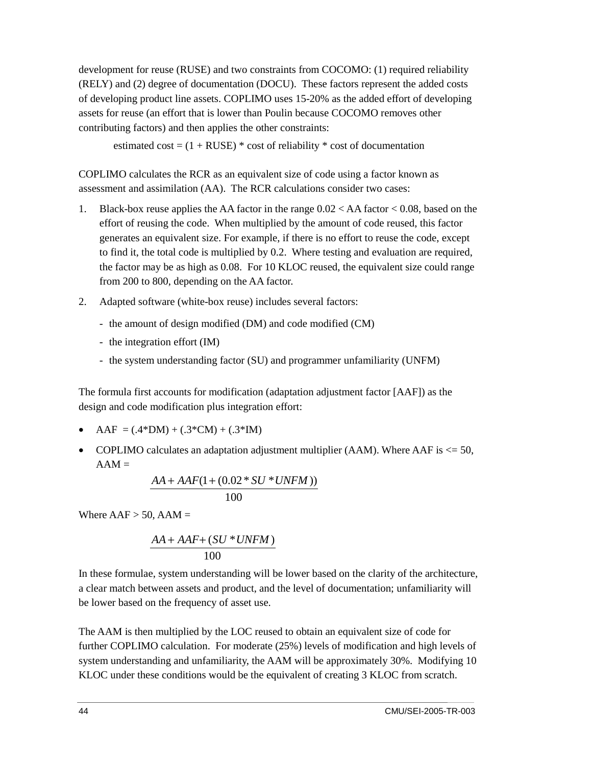development for reuse (RUSE) and two constraints from COCOMO: (1) required reliability (RELY) and (2) degree of documentation (DOCU). These factors represent the added costs of developing product line assets. COPLIMO uses 15-20% as the added effort of developing assets for reuse (an effort that is lower than Poulin because COCOMO removes other contributing factors) and then applies the other constraints:

estimated  $cost = (1 + RUSE) * cost of reliability * cost of documentation$ 

COPLIMO calculates the RCR as an equivalent size of code using a factor known as assessment and assimilation (AA). The RCR calculations consider two cases:

- 1. Black-box reuse applies the AA factor in the range 0.02 < AA factor < 0.08, based on the effort of reusing the code. When multiplied by the amount of code reused, this factor generates an equivalent size. For example, if there is no effort to reuse the code, except to find it, the total code is multiplied by 0.2. Where testing and evaluation are required, the factor may be as high as 0.08. For 10 KLOC reused, the equivalent size could range from 200 to 800, depending on the AA factor.
- 2. Adapted software (white-box reuse) includes several factors:
	- the amount of design modified (DM) and code modified (CM)
	- the integration effort (IM)
	- the system understanding factor (SU) and programmer unfamiliarity (UNFM)

The formula first accounts for modification (adaptation adjustment factor [AAF]) as the design and code modification plus integration effort:

- $AAF = (.4*DM) + (.3*CM) + (.3*IM)$
- COPLIMO calculates an adaptation adjustment multiplier (AAM). Where AAF is  $\leq$  50,  $AAM =$

$$
\frac{AA + AAF(1 + (0.02 * SU * UNFM))}{100}
$$

Where  $AAF > 50$ ,  $AAM =$ 

$$
\frac{AA + AAF + (SU * UNFM)}{100}
$$

In these formulae, system understanding will be lower based on the clarity of the architecture, a clear match between assets and product, and the level of documentation; unfamiliarity will be lower based on the frequency of asset use.

The AAM is then multiplied by the LOC reused to obtain an equivalent size of code for further COPLIMO calculation. For moderate (25%) levels of modification and high levels of system understanding and unfamiliarity, the AAM will be approximately 30%. Modifying 10 KLOC under these conditions would be the equivalent of creating 3 KLOC from scratch.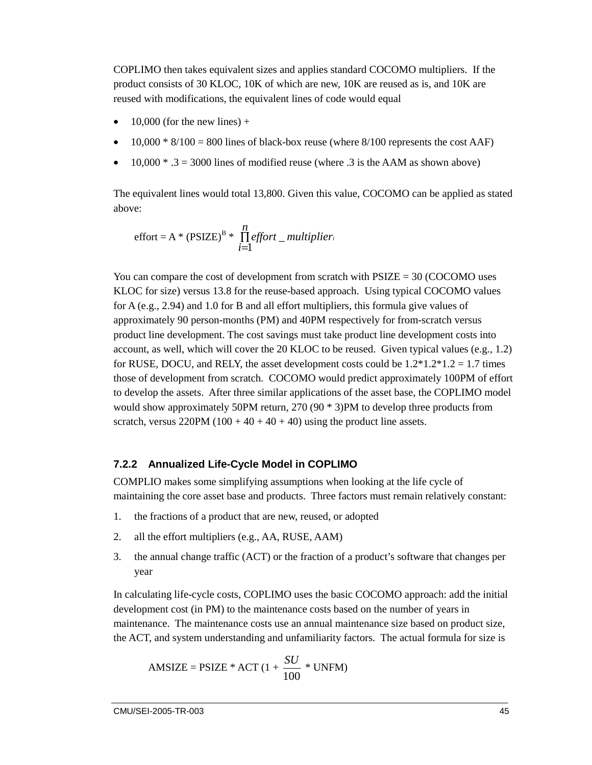COPLIMO then takes equivalent sizes and applies standard COCOMO multipliers. If the product consists of 30 KLOC, 10K of which are new, 10K are reused as is, and 10K are reused with modifications, the equivalent lines of code would equal

- $10,000$  (for the new lines) +
- $10,000 * 8/100 = 800$  lines of black-box reuse (where  $8/100$  represents the cost AAF)
- $10,000 \times .3 = 3000$  lines of modified reuse (where .3 is the AAM as shown above)

The equivalent lines would total 13,800. Given this value, COCOMO can be applied as stated above:

$$
effort = A * (PSIZE)^{B} * \prod_{i=1}^{n} effort\_multiplier_{i}
$$

You can compare the cost of development from scratch with PSIZE = 30 (COCOMO uses KLOC for size) versus 13.8 for the reuse-based approach. Using typical COCOMO values for A (e.g., 2.94) and 1.0 for B and all effort multipliers, this formula give values of approximately 90 person-months (PM) and 40PM respectively for from-scratch versus product line development. The cost savings must take product line development costs into account, as well, which will cover the 20 KLOC to be reused. Given typical values (e.g., 1.2) for RUSE, DOCU, and RELY, the asset development costs could be  $1.2*1.2*1.2 = 1.7$  times those of development from scratch. COCOMO would predict approximately 100PM of effort to develop the assets. After three similar applications of the asset base, the COPLIMO model would show approximately 50PM return, 270 (90 \* 3)PM to develop three products from scratch, versus  $220PM (100 + 40 + 40 + 40)$  using the product line assets.

#### **7.2.2 Annualized Life-Cycle Model in COPLIMO**

COMPLIO makes some simplifying assumptions when looking at the life cycle of maintaining the core asset base and products. Three factors must remain relatively constant:

- 1. the fractions of a product that are new, reused, or adopted
- 2. all the effort multipliers (e.g., AA, RUSE, AAM)
- 3. the annual change traffic (ACT) or the fraction of a product's software that changes per year

In calculating life-cycle costs, COPLIMO uses the basic COCOMO approach: add the initial development cost (in PM) to the maintenance costs based on the number of years in maintenance. The maintenance costs use an annual maintenance size based on product size, the ACT, and system understanding and unfamiliarity factors. The actual formula for size is

$$
AMSIZE = PSIZE * ACT (1 + \frac{SU}{100} * UNFM)
$$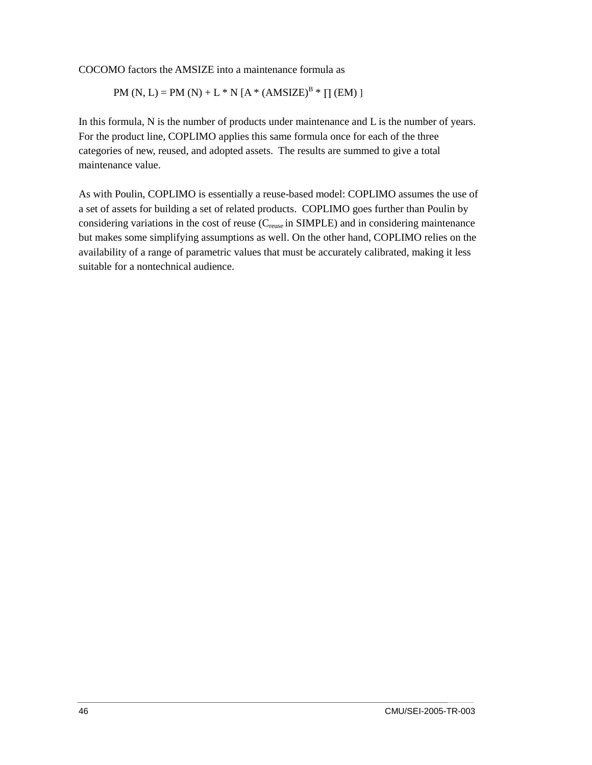COCOMO factors the AMSIZE into a maintenance formula as

$$
PM (N, L) = PM (N) + L * N [A * (AMSIZE)B * [] (EM)]
$$

In this formula, N is the number of products under maintenance and L is the number of years. For the product line, COPLIMO applies this same formula once for each of the three categories of new, reused, and adopted assets. The results are summed to give a total maintenance value.

As with Poulin, COPLIMO is essentially a reuse-based model: COPLIMO assumes the use of a set of assets for building a set of related products. COPLIMO goes further than Poulin by considering variations in the cost of reuse (C<sub>reuse</sub> in SIMPLE) and in considering maintenance but makes some simplifying assumptions as well. On the other hand, COPLIMO relies on the availability of a range of parametric values that must be accurately calibrated, making it less suitable for a nontechnical audience.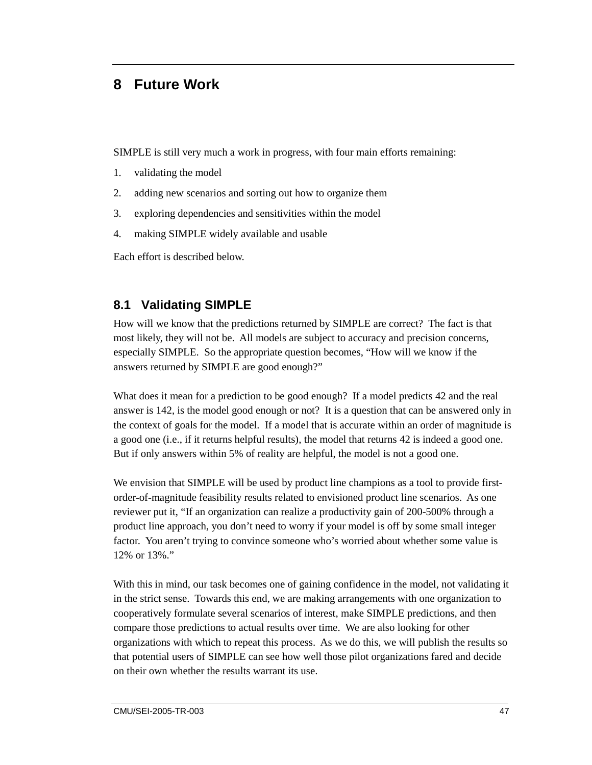## **8 Future Work**

SIMPLE is still very much a work in progress, with four main efforts remaining:

- 1. validating the model
- 2. adding new scenarios and sorting out how to organize them
- 3. exploring dependencies and sensitivities within the model
- 4. making SIMPLE widely available and usable

Each effort is described below.

### **8.1 Validating SIMPLE**

How will we know that the predictions returned by SIMPLE are correct? The fact is that most likely, they will not be. All models are subject to accuracy and precision concerns, especially SIMPLE. So the appropriate question becomes, "How will we know if the answers returned by SIMPLE are good enough?"

What does it mean for a prediction to be good enough? If a model predicts 42 and the real answer is 142, is the model good enough or not? It is a question that can be answered only in the context of goals for the model. If a model that is accurate within an order of magnitude is a good one (i.e., if it returns helpful results), the model that returns 42 is indeed a good one. But if only answers within 5% of reality are helpful, the model is not a good one.

We envision that SIMPLE will be used by product line champions as a tool to provide firstorder-of-magnitude feasibility results related to envisioned product line scenarios. As one reviewer put it, "If an organization can realize a productivity gain of 200-500% through a product line approach, you don't need to worry if your model is off by some small integer factor. You aren't trying to convince someone who's worried about whether some value is 12% or 13%"

With this in mind, our task becomes one of gaining confidence in the model, not validating it in the strict sense. Towards this end, we are making arrangements with one organization to cooperatively formulate several scenarios of interest, make SIMPLE predictions, and then compare those predictions to actual results over time. We are also looking for other organizations with which to repeat this process. As we do this, we will publish the results so that potential users of SIMPLE can see how well those pilot organizations fared and decide on their own whether the results warrant its use.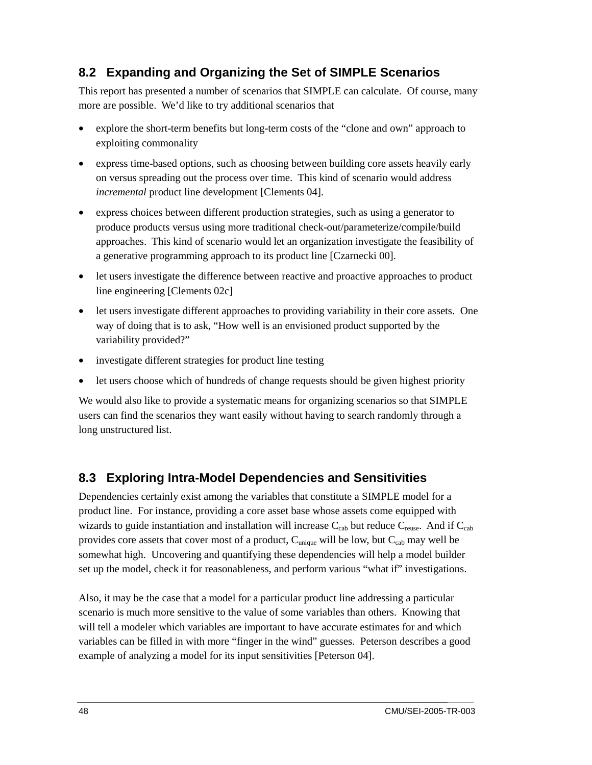## **8.2 Expanding and Organizing the Set of SIMPLE Scenarios**

This report has presented a number of scenarios that SIMPLE can calculate. Of course, many more are possible. We'd like to try additional scenarios that

- explore the short-term benefits but long-term costs of the "clone and own" approach to exploiting commonality
- express time-based options, such as choosing between building core assets heavily early on versus spreading out the process over time. This kind of scenario would address *incremental* product line development [Clements 04].
- express choices between different production strategies, such as using a generator to produce products versus using more traditional check-out/parameterize/compile/build approaches. This kind of scenario would let an organization investigate the feasibility of a generative programming approach to its product line [Czarnecki 00].
- let users investigate the difference between reactive and proactive approaches to product line engineering [Clements 02c]
- let users investigate different approaches to providing variability in their core assets. One way of doing that is to ask, "How well is an envisioned product supported by the variability provided?"
- investigate different strategies for product line testing
- let users choose which of hundreds of change requests should be given highest priority

We would also like to provide a systematic means for organizing scenarios so that SIMPLE users can find the scenarios they want easily without having to search randomly through a long unstructured list.

## **8.3 Exploring Intra-Model Dependencies and Sensitivities**

Dependencies certainly exist among the variables that constitute a SIMPLE model for a product line. For instance, providing a core asset base whose assets come equipped with wizards to guide instantiation and installation will increase  $C_{cab}$  but reduce  $C_{reuse}$ . And if  $C_{cab}$ provides core assets that cover most of a product,  $C_{\text{unique}}$  will be low, but  $C_{\text{cab}}$  may well be somewhat high. Uncovering and quantifying these dependencies will help a model builder set up the model, check it for reasonableness, and perform various "what if" investigations.

Also, it may be the case that a model for a particular product line addressing a particular scenario is much more sensitive to the value of some variables than others. Knowing that will tell a modeler which variables are important to have accurate estimates for and which variables can be filled in with more "finger in the wind" guesses. Peterson describes a good example of analyzing a model for its input sensitivities [Peterson 04].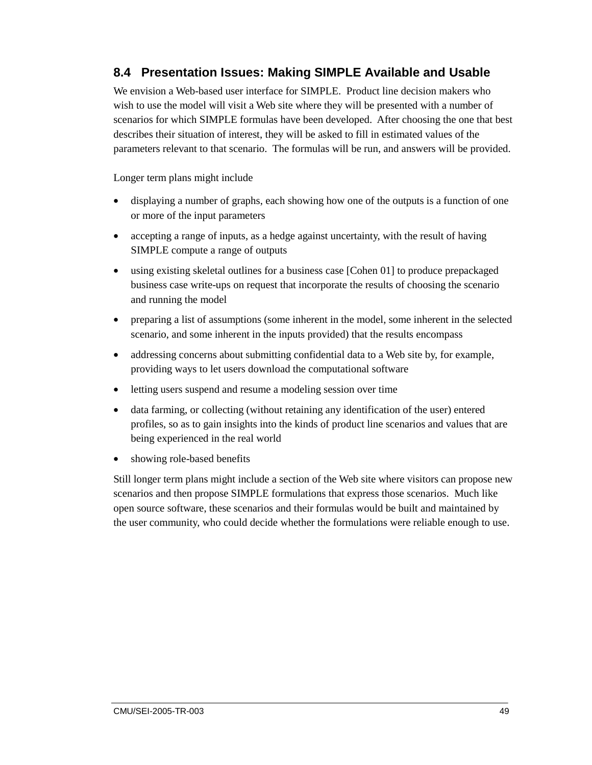## **8.4 Presentation Issues: Making SIMPLE Available and Usable**

We envision a Web-based user interface for SIMPLE. Product line decision makers who wish to use the model will visit a Web site where they will be presented with a number of scenarios for which SIMPLE formulas have been developed. After choosing the one that best describes their situation of interest, they will be asked to fill in estimated values of the parameters relevant to that scenario. The formulas will be run, and answers will be provided.

Longer term plans might include

- displaying a number of graphs, each showing how one of the outputs is a function of one or more of the input parameters
- accepting a range of inputs, as a hedge against uncertainty, with the result of having SIMPLE compute a range of outputs
- using existing skeletal outlines for a business case [Cohen 01] to produce prepackaged business case write-ups on request that incorporate the results of choosing the scenario and running the model
- preparing a list of assumptions (some inherent in the model, some inherent in the selected scenario, and some inherent in the inputs provided) that the results encompass
- addressing concerns about submitting confidential data to a Web site by, for example, providing ways to let users download the computational software
- letting users suspend and resume a modeling session over time
- data farming, or collecting (without retaining any identification of the user) entered profiles, so as to gain insights into the kinds of product line scenarios and values that are being experienced in the real world
- showing role-based benefits

Still longer term plans might include a section of the Web site where visitors can propose new scenarios and then propose SIMPLE formulations that express those scenarios. Much like open source software, these scenarios and their formulas would be built and maintained by the user community, who could decide whether the formulations were reliable enough to use.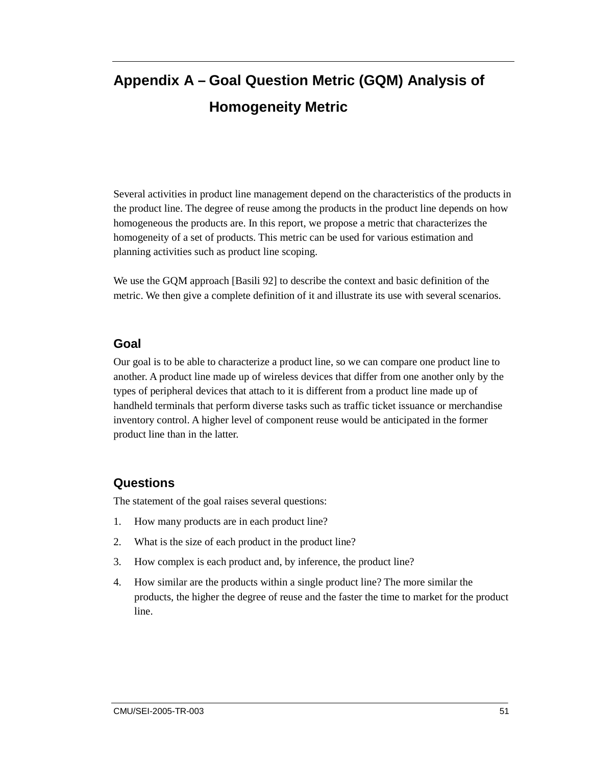# **Appendix A – Goal Question Metric (GQM) Analysis of Homogeneity Metric**

Several activities in product line management depend on the characteristics of the products in the product line. The degree of reuse among the products in the product line depends on how homogeneous the products are. In this report, we propose a metric that characterizes the homogeneity of a set of products. This metric can be used for various estimation and planning activities such as product line scoping.

We use the GQM approach [Basili 92] to describe the context and basic definition of the metric. We then give a complete definition of it and illustrate its use with several scenarios.

#### **Goal**

Our goal is to be able to characterize a product line, so we can compare one product line to another. A product line made up of wireless devices that differ from one another only by the types of peripheral devices that attach to it is different from a product line made up of handheld terminals that perform diverse tasks such as traffic ticket issuance or merchandise inventory control. A higher level of component reuse would be anticipated in the former product line than in the latter.

### **Questions**

The statement of the goal raises several questions:

- 1. How many products are in each product line?
- 2. What is the size of each product in the product line?
- 3. How complex is each product and, by inference, the product line?
- 4. How similar are the products within a single product line? The more similar the products, the higher the degree of reuse and the faster the time to market for the product line.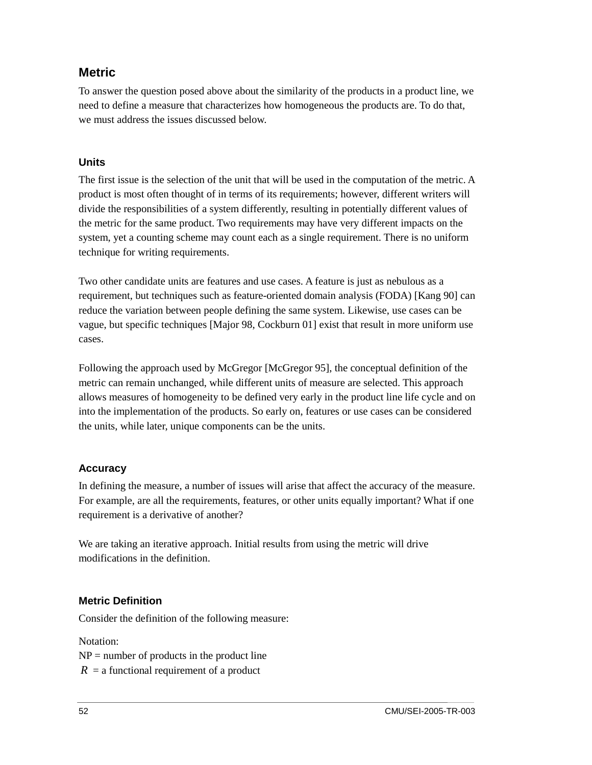#### **Metric**

To answer the question posed above about the similarity of the products in a product line, we need to define a measure that characterizes how homogeneous the products are. To do that, we must address the issues discussed below.

#### **Units**

The first issue is the selection of the unit that will be used in the computation of the metric. A product is most often thought of in terms of its requirements; however, different writers will divide the responsibilities of a system differently, resulting in potentially different values of the metric for the same product. Two requirements may have very different impacts on the system, yet a counting scheme may count each as a single requirement. There is no uniform technique for writing requirements.

Two other candidate units are features and use cases. A feature is just as nebulous as a requirement, but techniques such as feature-oriented domain analysis (FODA) [Kang 90] can reduce the variation between people defining the same system. Likewise, use cases can be vague, but specific techniques [Major 98, Cockburn 01] exist that result in more uniform use cases.

Following the approach used by McGregor [McGregor 95], the conceptual definition of the metric can remain unchanged, while different units of measure are selected. This approach allows measures of homogeneity to be defined very early in the product line life cycle and on into the implementation of the products. So early on, features or use cases can be considered the units, while later, unique components can be the units.

#### **Accuracy**

In defining the measure, a number of issues will arise that affect the accuracy of the measure. For example, are all the requirements, features, or other units equally important? What if one requirement is a derivative of another?

We are taking an iterative approach. Initial results from using the metric will drive modifications in the definition.

#### **Metric Definition**

Consider the definition of the following measure:

Notation:  $NP =$  number of products in the product line  $R = a$  functional requirement of a product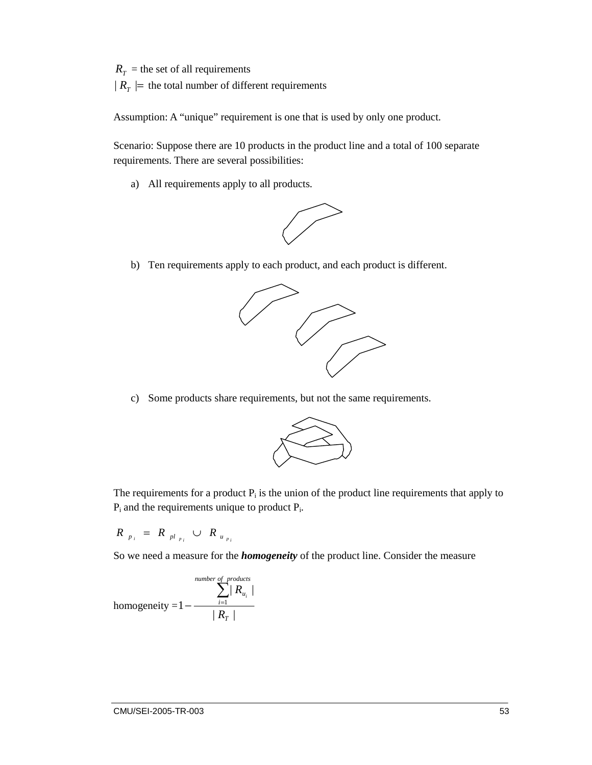$R_T$  = the set of all requirements

 $|R_{\tau}|$  = the total number of different requirements

Assumption: A "unique" requirement is one that is used by only one product.

Scenario: Suppose there are 10 products in the product line and a total of 100 separate requirements. There are several possibilities:

a) All requirements apply to all products.



b) Ten requirements apply to each product, and each product is different.



c) Some products share requirements, but not the same requirements.



The requirements for a product  $P_i$  is the union of the product line requirements that apply to  $P_i$  and the requirements unique to product  $P_i$ .

 $R_{p_i} = R_{p l_{p_i}} \cup R_{u_{p_i}}$ 

So we need a measure for the *homogeneity* of the product line. Consider the measure

$$
\text{homogeneity} = 1 - \frac{\sum_{i=1}^{number \text{ of products}} |R_{u_i}|}{|R_{T}|}
$$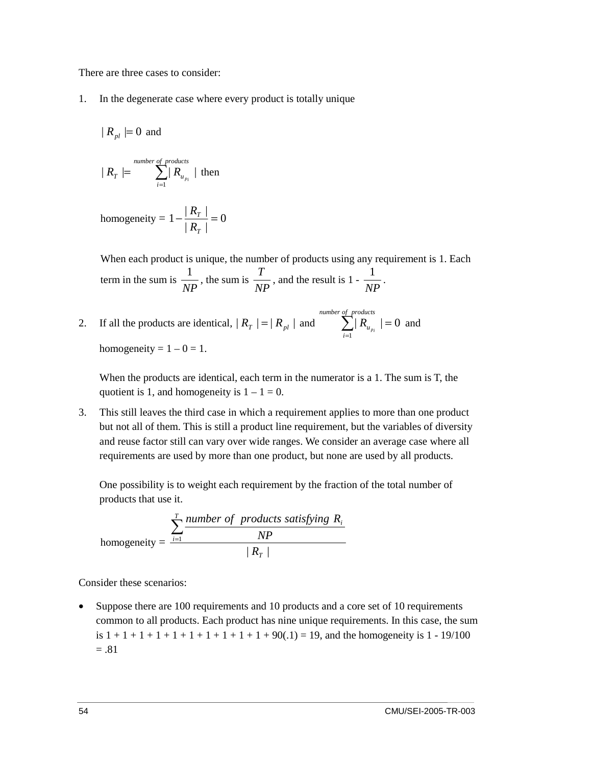There are three cases to consider:

1. In the degenerate case where every product is totally unique

 $|R_{pl}|= 0$  and

$$
| R_{T} | = \sum_{i=1}^{number \ of \ products} | R_{u_{p_i}} | \ then
$$

homogeneity = 
$$
1 - \frac{|R_T|}{|R_T|} = 0
$$

When each product is unique, the number of products using any requirement is 1. Each term in the sum is *NP* 1 , the sum is  $\frac{1}{NP}$ *T* , and the result is  $1 - \frac{1}{NP}$  $\frac{1}{\sqrt{2}}$ .

2. If all the products are identical,  $|R_T| = |R_{pl}|$  and  $\sum |R_{u_{n}}| = 0$  $\sum_{i=1}^{\infty} |R_{u_{p_i}}| =$ *number of products*  $\sum_{i=1}^n |R_{u_{p_i}}| = 0$  and homogeneity =  $1 - 0 = 1$ .

When the products are identical, each term in the numerator is a 1. The sum is T, the quotient is 1, and homogeneity is  $1 - 1 = 0$ .

3. This still leaves the third case in which a requirement applies to more than one product but not all of them. This is still a product line requirement, but the variables of diversity and reuse factor still can vary over wide ranges. We consider an average case where all requirements are used by more than one product, but none are used by all products.

One possibility is to weight each requirement by the fraction of the total number of products that use it.

homogeneity = 
$$
\frac{\sum_{i=1}^{T} \frac{number\ of\ products\ satisfying\ R_i}{NP}}{|R_T|}
$$

Consider these scenarios:

• Suppose there are 100 requirements and 10 products and a core set of 10 requirements common to all products. Each product has nine unique requirements. In this case, the sum is  $1 + 1 + 1 + 1 + 1 + 1 + 1 + 1 + 1 + 1 + 90(0.1) = 19$ , and the homogeneity is 1 - 19/100  $=.81$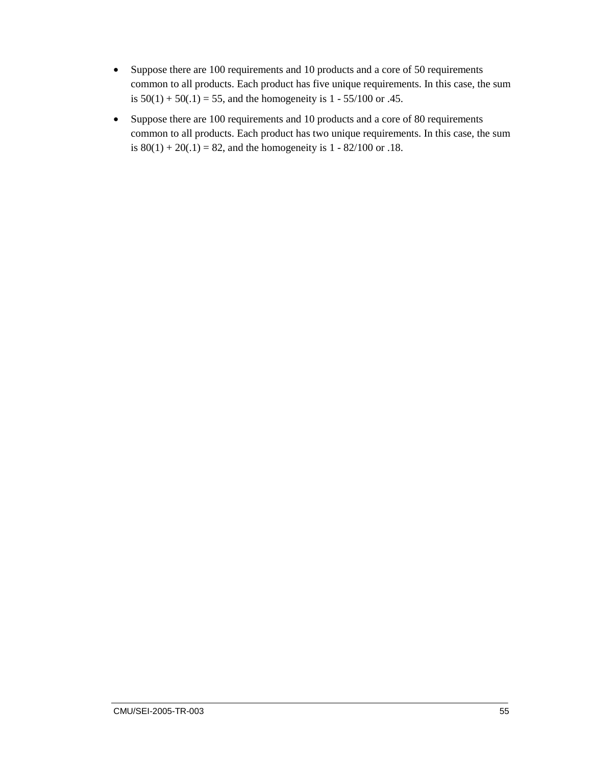- Suppose there are 100 requirements and 10 products and a core of 50 requirements common to all products. Each product has five unique requirements. In this case, the sum is  $50(1) + 50(.1) = 55$ , and the homogeneity is 1 - 55/100 or .45.
- Suppose there are 100 requirements and 10 products and a core of 80 requirements common to all products. Each product has two unique requirements. In this case, the sum is  $80(1) + 20(.1) = 82$ , and the homogeneity is 1 - 82/100 or .18.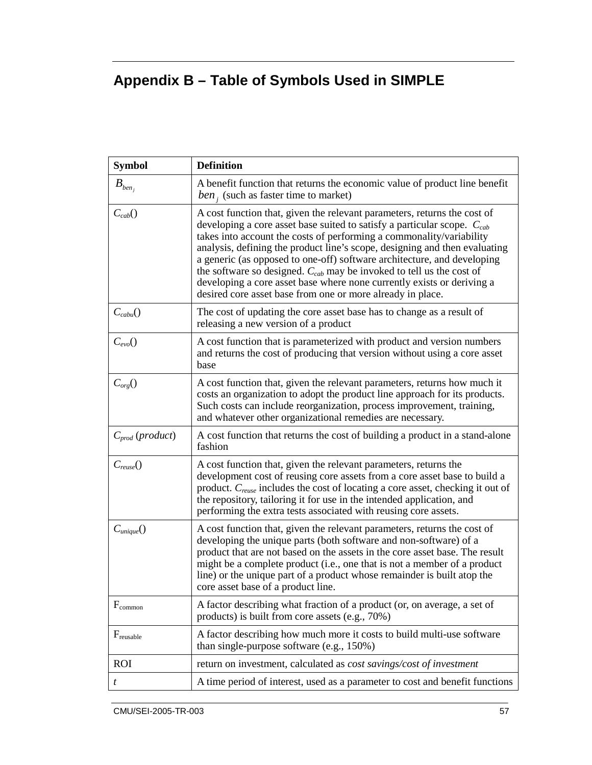# **Appendix B – Table of Symbols Used in SIMPLE**

| <b>Symbol</b>         | <b>Definition</b>                                                                                                                                                                                                                                                                                                                                                                                                                                                                                                                                                                                              |
|-----------------------|----------------------------------------------------------------------------------------------------------------------------------------------------------------------------------------------------------------------------------------------------------------------------------------------------------------------------------------------------------------------------------------------------------------------------------------------------------------------------------------------------------------------------------------------------------------------------------------------------------------|
| $B_{ben_j}$           | A benefit function that returns the economic value of product line benefit<br><i>ben</i> , (such as faster time to market)                                                                                                                                                                                                                                                                                                                                                                                                                                                                                     |
| $C_{cab}()$           | A cost function that, given the relevant parameters, returns the cost of<br>developing a core asset base suited to satisfy a particular scope. $C_{cab}$<br>takes into account the costs of performing a commonality/variability<br>analysis, defining the product line's scope, designing and then evaluating<br>a generic (as opposed to one-off) software architecture, and developing<br>the software so designed. $C_{cab}$ may be invoked to tell us the cost of<br>developing a core asset base where none currently exists or deriving a<br>desired core asset base from one or more already in place. |
| $C_{cabu}()$          | The cost of updating the core asset base has to change as a result of<br>releasing a new version of a product                                                                                                                                                                                                                                                                                                                                                                                                                                                                                                  |
| $C_{evo}()$           | A cost function that is parameterized with product and version numbers<br>and returns the cost of producing that version without using a core asset<br>base                                                                                                                                                                                                                                                                                                                                                                                                                                                    |
| $C_{org}()$           | A cost function that, given the relevant parameters, returns how much it<br>costs an organization to adopt the product line approach for its products.<br>Such costs can include reorganization, process improvement, training,<br>and whatever other organizational remedies are necessary.                                                                                                                                                                                                                                                                                                                   |
| $C_{prod}$ (product)  | A cost function that returns the cost of building a product in a stand-alone<br>fashion                                                                                                                                                                                                                                                                                                                                                                                                                                                                                                                        |
| $C_{reuse}()$         | A cost function that, given the relevant parameters, returns the<br>development cost of reusing core assets from a core asset base to build a<br>product. $C_{reuse}$ includes the cost of locating a core asset, checking it out of<br>the repository, tailoring it for use in the intended application, and<br>performing the extra tests associated with reusing core assets.                                                                                                                                                                                                                               |
| $C_{\text{unique}}()$ | A cost function that, given the relevant parameters, returns the cost of<br>developing the unique parts (both software and non-software) of a<br>product that are not based on the assets in the core asset base. The result<br>might be a complete product (i.e., one that is not a member of a product<br>line) or the unique part of a product whose remainder is built atop the<br>core asset base of a product line.                                                                                                                                                                                      |
| $F_{common}$          | A factor describing what fraction of a product (or, on average, a set of<br>products) is built from core assets (e.g., 70%)                                                                                                                                                                                                                                                                                                                                                                                                                                                                                    |
| $F_{\text{reusable}}$ | A factor describing how much more it costs to build multi-use software<br>than single-purpose software (e.g., 150%)                                                                                                                                                                                                                                                                                                                                                                                                                                                                                            |
| <b>ROI</b>            | return on investment, calculated as <i>cost savings/cost of investment</i>                                                                                                                                                                                                                                                                                                                                                                                                                                                                                                                                     |
| t                     | A time period of interest, used as a parameter to cost and benefit functions                                                                                                                                                                                                                                                                                                                                                                                                                                                                                                                                   |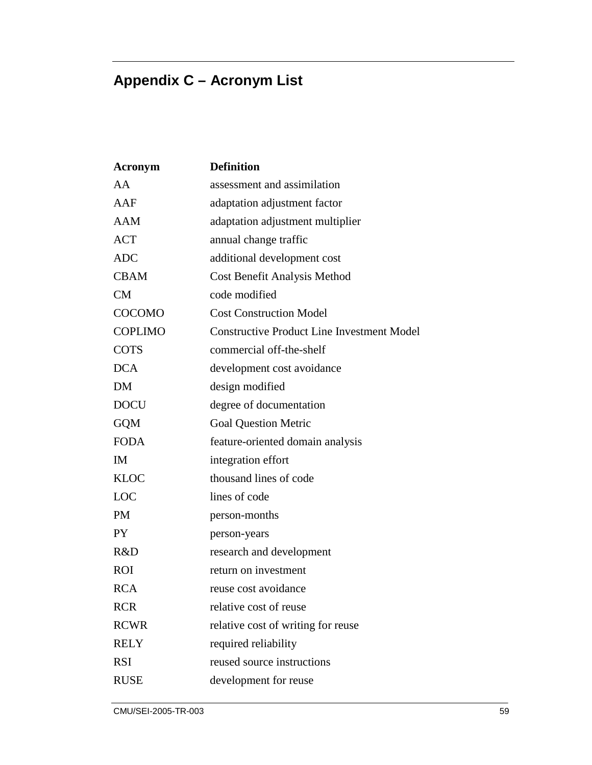## **Appendix C – Acronym List**

| <b>Acronym</b> | <b>Definition</b>                                 |  |  |
|----------------|---------------------------------------------------|--|--|
| AA             | assessment and assimilation                       |  |  |
| AAF            | adaptation adjustment factor                      |  |  |
| <b>AAM</b>     | adaptation adjustment multiplier                  |  |  |
| <b>ACT</b>     | annual change traffic                             |  |  |
| <b>ADC</b>     | additional development cost                       |  |  |
| <b>CBAM</b>    | Cost Benefit Analysis Method                      |  |  |
| CM             | code modified                                     |  |  |
| COCOMO         | <b>Cost Construction Model</b>                    |  |  |
| <b>COPLIMO</b> | <b>Constructive Product Line Investment Model</b> |  |  |
| <b>COTS</b>    | commercial off-the-shelf                          |  |  |
| <b>DCA</b>     | development cost avoidance                        |  |  |
| <b>DM</b>      | design modified                                   |  |  |
| <b>DOCU</b>    | degree of documentation                           |  |  |
| <b>GQM</b>     | <b>Goal Question Metric</b>                       |  |  |
| <b>FODA</b>    | feature-oriented domain analysis                  |  |  |
| IM             | integration effort                                |  |  |
| <b>KLOC</b>    | thousand lines of code                            |  |  |
| <b>LOC</b>     | lines of code                                     |  |  |
| <b>PM</b>      | person-months                                     |  |  |
| <b>PY</b>      | person-years                                      |  |  |
| R&D            | research and development                          |  |  |
| <b>ROI</b>     | return on investment                              |  |  |
| <b>RCA</b>     | reuse cost avoidance                              |  |  |
| <b>RCR</b>     | relative cost of reuse                            |  |  |
| <b>RCWR</b>    | relative cost of writing for reuse                |  |  |
| <b>RELY</b>    | required reliability                              |  |  |
| <b>RSI</b>     | reused source instructions                        |  |  |
| <b>RUSE</b>    | development for reuse                             |  |  |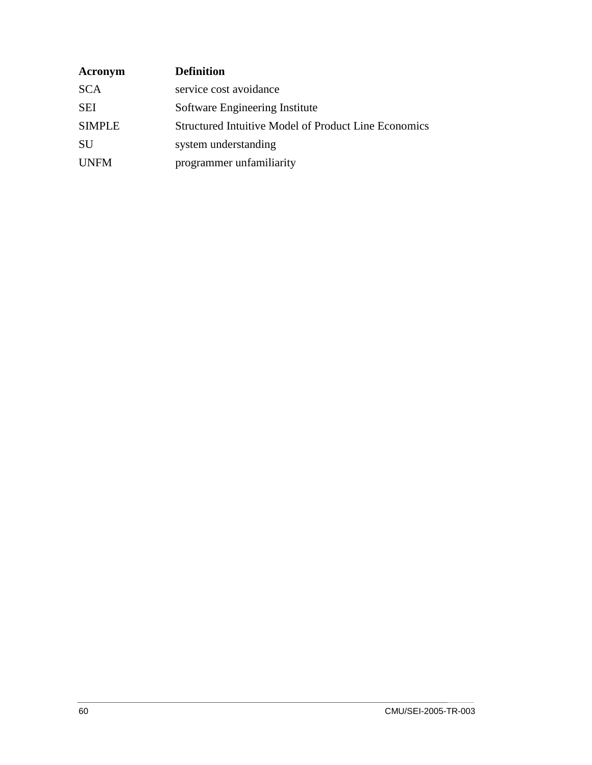| <b>Definition</b>                                           |
|-------------------------------------------------------------|
| service cost avoidance                                      |
| Software Engineering Institute                              |
| <b>Structured Intuitive Model of Product Line Economics</b> |
| system understanding                                        |
| programmer unfamiliarity                                    |
|                                                             |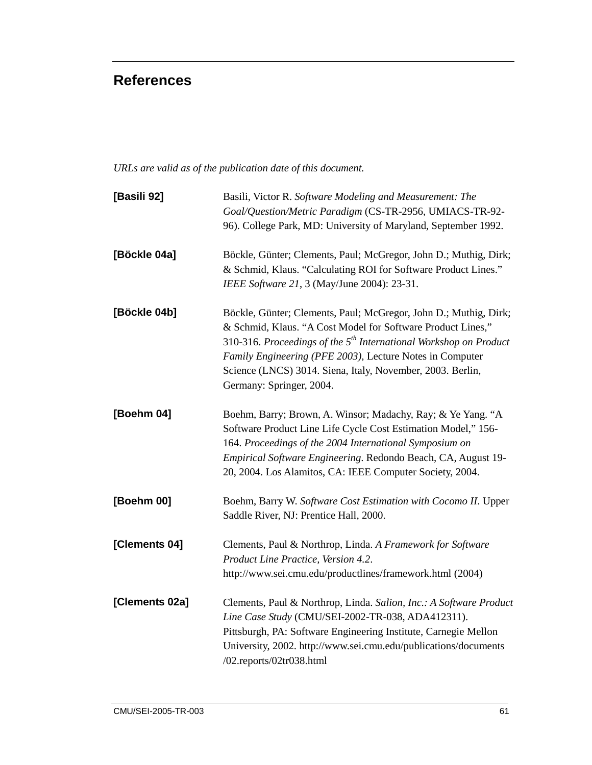## **References**

*URLs are valid as of the publication date of this document.* 

| [Basili 92]    | Basili, Victor R. Software Modeling and Measurement: The<br>Goal/Question/Metric Paradigm (CS-TR-2956, UMIACS-TR-92-<br>96). College Park, MD: University of Maryland, September 1992.                                                                                                                                                                       |
|----------------|--------------------------------------------------------------------------------------------------------------------------------------------------------------------------------------------------------------------------------------------------------------------------------------------------------------------------------------------------------------|
| [Böckle 04a]   | Böckle, Günter; Clements, Paul; McGregor, John D.; Muthig, Dirk;<br>& Schmid, Klaus. "Calculating ROI for Software Product Lines."<br>IEEE Software 21, 3 (May/June 2004): 23-31.                                                                                                                                                                            |
| [Böckle 04b]   | Böckle, Günter; Clements, Paul; McGregor, John D.; Muthig, Dirk;<br>& Schmid, Klaus. "A Cost Model for Software Product Lines,"<br>310-316. Proceedings of the $5th$ International Workshop on Product<br>Family Engineering (PFE 2003), Lecture Notes in Computer<br>Science (LNCS) 3014. Siena, Italy, November, 2003. Berlin,<br>Germany: Springer, 2004. |
| [Boehm 04]     | Boehm, Barry; Brown, A. Winsor; Madachy, Ray; & Ye Yang. "A<br>Software Product Line Life Cycle Cost Estimation Model," 156-<br>164. Proceedings of the 2004 International Symposium on<br>Empirical Software Engineering. Redondo Beach, CA, August 19-<br>20, 2004. Los Alamitos, CA: IEEE Computer Society, 2004.                                         |
| [Boehm 00]     | Boehm, Barry W. Software Cost Estimation with Cocomo II. Upper<br>Saddle River, NJ: Prentice Hall, 2000.                                                                                                                                                                                                                                                     |
| [Clements 04]  | Clements, Paul & Northrop, Linda. A Framework for Software<br>Product Line Practice, Version 4.2.<br>http://www.sei.cmu.edu/productlines/framework.html (2004)                                                                                                                                                                                               |
| [Clements 02a] | Clements, Paul & Northrop, Linda. Salion, Inc.: A Software Product<br>Line Case Study (CMU/SEI-2002-TR-038, ADA412311).<br>Pittsburgh, PA: Software Engineering Institute, Carnegie Mellon<br>University, 2002. http://www.sei.cmu.edu/publications/documents<br>/02.reports/02tr038.html                                                                    |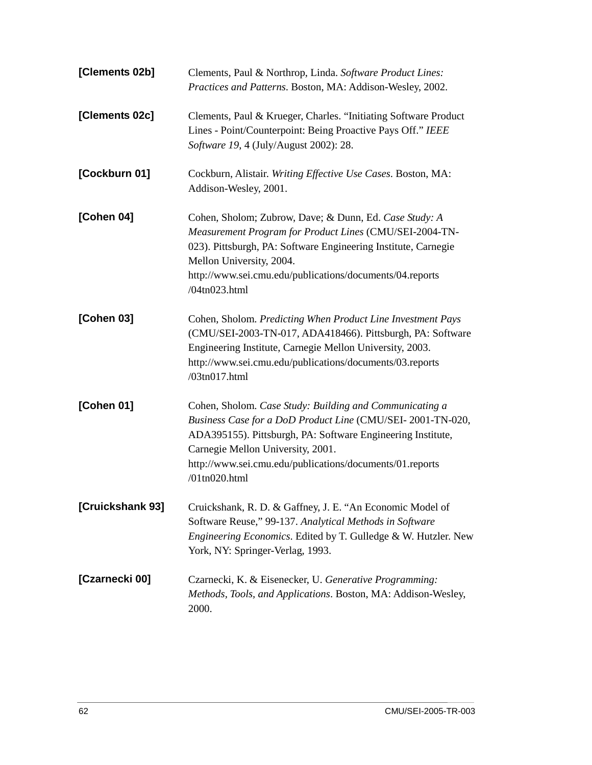| [Clements 02b]   | Clements, Paul & Northrop, Linda. Software Product Lines:<br>Practices and Patterns. Boston, MA: Addison-Wesley, 2002.                                                                                                                                                                                        |
|------------------|---------------------------------------------------------------------------------------------------------------------------------------------------------------------------------------------------------------------------------------------------------------------------------------------------------------|
| [Clements 02c]   | Clements, Paul & Krueger, Charles. "Initiating Software Product<br>Lines - Point/Counterpoint: Being Proactive Pays Off." IEEE<br>Software 19, 4 (July/August 2002): 28.                                                                                                                                      |
| [Cockburn 01]    | Cockburn, Alistair. Writing Effective Use Cases. Boston, MA:<br>Addison-Wesley, 2001.                                                                                                                                                                                                                         |
| [Cohen 04]       | Cohen, Sholom; Zubrow, Dave; & Dunn, Ed. Case Study: A<br>Measurement Program for Product Lines (CMU/SEI-2004-TN-<br>023). Pittsburgh, PA: Software Engineering Institute, Carnegie<br>Mellon University, 2004.<br>http://www.sei.cmu.edu/publications/documents/04.reports<br>/04tn023.html                  |
| [Cohen 03]       | Cohen, Sholom. Predicting When Product Line Investment Pays<br>(CMU/SEI-2003-TN-017, ADA418466). Pittsburgh, PA: Software<br>Engineering Institute, Carnegie Mellon University, 2003.<br>http://www.sei.cmu.edu/publications/documents/03.reports<br>/03tn017.html                                            |
| [Cohen 01]       | Cohen, Sholom. Case Study: Building and Communicating a<br>Business Case for a DoD Product Line (CMU/SEI-2001-TN-020,<br>ADA395155). Pittsburgh, PA: Software Engineering Institute,<br>Carnegie Mellon University, 2001.<br>http://www.sei.cmu.edu/publications/documents/01.reports<br>$/01$ tn $020$ .html |
| [Cruickshank 93] | Cruickshank, R. D. & Gaffney, J. E. "An Economic Model of<br>Software Reuse," 99-137. Analytical Methods in Software<br>Engineering Economics. Edited by T. Gulledge & W. Hutzler. New<br>York, NY: Springer-Verlag, 1993.                                                                                    |
| [Czarnecki 00]   | Czarnecki, K. & Eisenecker, U. Generative Programming:<br>Methods, Tools, and Applications. Boston, MA: Addison-Wesley,<br>2000.                                                                                                                                                                              |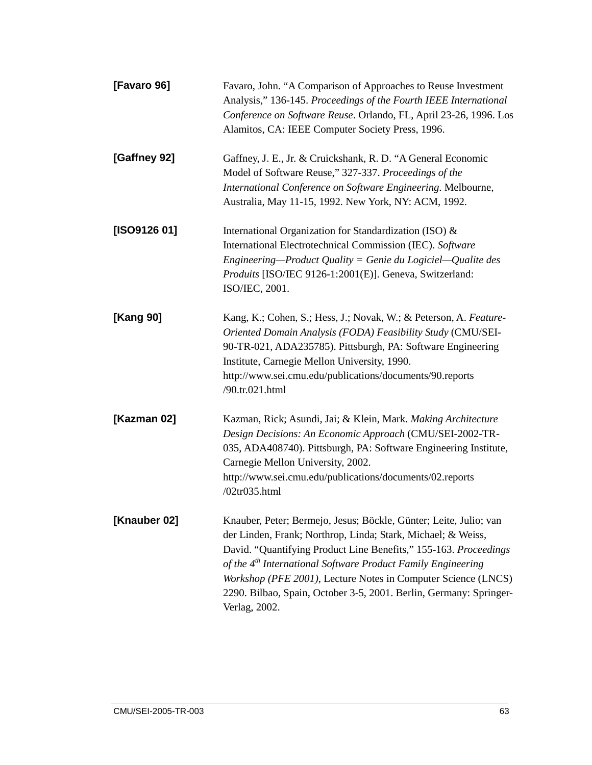| [Favaro 96]  | Favaro, John. "A Comparison of Approaches to Reuse Investment<br>Analysis," 136-145. Proceedings of the Fourth IEEE International<br>Conference on Software Reuse. Orlando, FL, April 23-26, 1996. Los<br>Alamitos, CA: IEEE Computer Society Press, 1996.                                                                                                                                                                         |
|--------------|------------------------------------------------------------------------------------------------------------------------------------------------------------------------------------------------------------------------------------------------------------------------------------------------------------------------------------------------------------------------------------------------------------------------------------|
| [Gaffney 92] | Gaffney, J. E., Jr. & Cruickshank, R. D. "A General Economic<br>Model of Software Reuse," 327-337. Proceedings of the<br>International Conference on Software Engineering. Melbourne,<br>Australia, May 11-15, 1992. New York, NY: ACM, 1992.                                                                                                                                                                                      |
| [ISO9126 01] | International Organization for Standardization (ISO) &<br>International Electrotechnical Commission (IEC). Software<br>Engineering—Product Quality = Genie du Logiciel—Qualite des<br>Produits [ISO/IEC 9126-1:2001(E)]. Geneva, Switzerland:<br>ISO/IEC, 2001.                                                                                                                                                                    |
| [Kang 90]    | Kang, K.; Cohen, S.; Hess, J.; Novak, W.; & Peterson, A. Feature-<br>Oriented Domain Analysis (FODA) Feasibility Study (CMU/SEI-<br>90-TR-021, ADA235785). Pittsburgh, PA: Software Engineering<br>Institute, Carnegie Mellon University, 1990.<br>http://www.sei.cmu.edu/publications/documents/90.reports<br>/90.tr.021.html                                                                                                     |
| [Kazman 02]  | Kazman, Rick; Asundi, Jai; & Klein, Mark. Making Architecture<br>Design Decisions: An Economic Approach (CMU/SEI-2002-TR-<br>035, ADA408740). Pittsburgh, PA: Software Engineering Institute,<br>Carnegie Mellon University, 2002.<br>http://www.sei.cmu.edu/publications/documents/02.reports<br>/02tr035.html                                                                                                                    |
| [Knauber 02] | Knauber, Peter; Bermejo, Jesus; Böckle, Günter; Leite, Julio; van<br>der Linden, Frank; Northrop, Linda; Stark, Michael; & Weiss,<br>David. "Quantifying Product Line Benefits," 155-163. Proceedings<br>of the $4^{th}$ International Software Product Family Engineering<br>Workshop (PFE 2001), Lecture Notes in Computer Science (LNCS)<br>2290. Bilbao, Spain, October 3-5, 2001. Berlin, Germany: Springer-<br>Verlag, 2002. |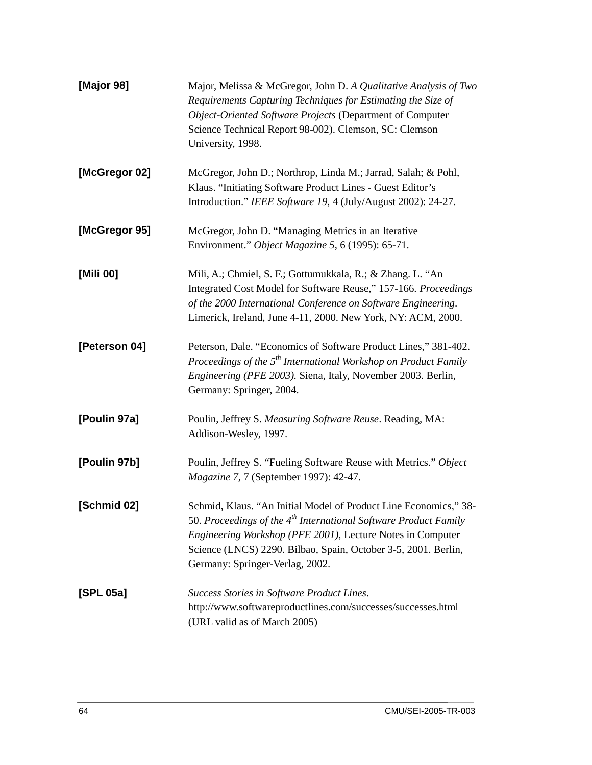| [Major 98]    | Major, Melissa & McGregor, John D. A Qualitative Analysis of Two<br>Requirements Capturing Techniques for Estimating the Size of<br>Object-Oriented Software Projects (Department of Computer<br>Science Technical Report 98-002). Clemson, SC: Clemson<br>University, 1998.                              |
|---------------|-----------------------------------------------------------------------------------------------------------------------------------------------------------------------------------------------------------------------------------------------------------------------------------------------------------|
| [McGregor 02] | McGregor, John D.; Northrop, Linda M.; Jarrad, Salah; & Pohl,<br>Klaus. "Initiating Software Product Lines - Guest Editor's<br>Introduction." IEEE Software 19, 4 (July/August 2002): 24-27.                                                                                                              |
| [McGregor 95] | McGregor, John D. "Managing Metrics in an Iterative<br>Environment." Object Magazine 5, 6 (1995): 65-71.                                                                                                                                                                                                  |
| [Mili 00]     | Mili, A.; Chmiel, S. F.; Gottumukkala, R.; & Zhang. L. "An<br>Integrated Cost Model for Software Reuse," 157-166. Proceedings<br>of the 2000 International Conference on Software Engineering.<br>Limerick, Ireland, June 4-11, 2000. New York, NY: ACM, 2000.                                            |
| [Peterson 04] | Peterson, Dale. "Economics of Software Product Lines," 381-402.<br>Proceedings of the $5th$ International Workshop on Product Family<br>Engineering (PFE 2003). Siena, Italy, November 2003. Berlin,<br>Germany: Springer, 2004.                                                                          |
| [Poulin 97a]  | Poulin, Jeffrey S. Measuring Software Reuse. Reading, MA:<br>Addison-Wesley, 1997.                                                                                                                                                                                                                        |
| [Poulin 97b]  | Poulin, Jeffrey S. "Fueling Software Reuse with Metrics." Object<br>Magazine 7, 7 (September 1997): 42-47.                                                                                                                                                                                                |
| [Schmid 02]   | Schmid, Klaus. "An Initial Model of Product Line Economics," 38-<br>50. Proceedings of the $4th$ International Software Product Family<br>Engineering Workshop (PFE 2001), Lecture Notes in Computer<br>Science (LNCS) 2290. Bilbao, Spain, October 3-5, 2001. Berlin,<br>Germany: Springer-Verlag, 2002. |
| [SPL 05a]     | Success Stories in Software Product Lines.<br>http://www.softwareproductlines.com/successes/successes.html<br>(URL valid as of March 2005)                                                                                                                                                                |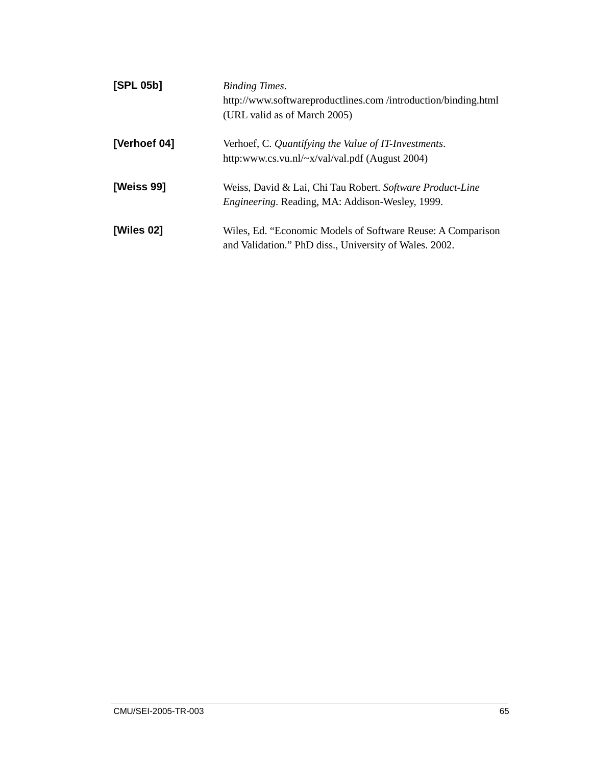| [SPL 05b]    | <b>Binding Times.</b><br>http://www.softwareproductlines.com/introduction/binding.html<br>(URL valid as of March 2005) |
|--------------|------------------------------------------------------------------------------------------------------------------------|
| [Verhoef 04] | Verhoef, C. Quantifying the Value of IT-Investments.<br>http:www.cs.vu.nl/ $\sim$ x/val/val.pdf (August 2004)          |
| [Weiss 99]   | Weiss, David & Lai, Chi Tau Robert. Software Product-Line<br><i>Engineering. Reading, MA: Addison-Wesley, 1999.</i>    |
| [Wiles 02]   | Wiles, Ed. "Economic Models of Software Reuse: A Comparison<br>and Validation." PhD diss., University of Wales. 2002.  |